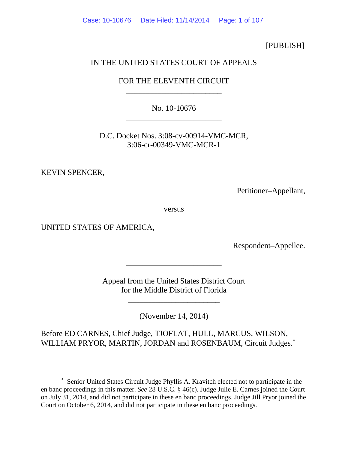Case: 10-10676 Date Filed: 11/14/2014 Page: 1 of 107

[PUBLISH]

# IN THE UNITED STATES COURT OF APPEALS

FOR THE ELEVENTH CIRCUIT \_\_\_\_\_\_\_\_\_\_\_\_\_\_\_\_\_\_\_\_\_\_\_\_

No. 10-10676 \_\_\_\_\_\_\_\_\_\_\_\_\_\_\_\_\_\_\_\_\_\_\_\_

D.C. Docket Nos. 3:08-cv-00914-VMC-MCR, 3:06-cr-00349-VMC-MCR-1

KEVIN SPENCER,

 $\overline{a}$ 

Petitioner–Appellant,

versus

UNITED STATES OF AMERICA,

Respondent–Appellee.

Appeal from the United States District Court for the Middle District of Florida

\_\_\_\_\_\_\_\_\_\_\_\_\_\_\_\_\_\_\_\_\_\_\_

\_\_\_\_\_\_\_\_\_\_\_\_\_\_\_\_\_\_\_\_\_\_\_\_

(November 14, 2014)

Before ED CARNES, Chief Judge, TJOFLAT, HULL, MARCUS, WILSON, WILLIAM PRYOR, MARTIN, JORDAN and ROSENBAUM, Circuit Judges.<sup>\*</sup>

<span id="page-0-0"></span><sup>∗</sup> Senior United States Circuit Judge Phyllis A. Kravitch elected not to participate in the en banc proceedings in this matter. *See* 28 U.S.C. § 46(c). Judge Julie E. Carnes joined the Court on July 31, 2014, and did not participate in these en banc proceedings. Judge Jill Pryor joined the Court on October 6, 2014, and did not participate in these en banc proceedings.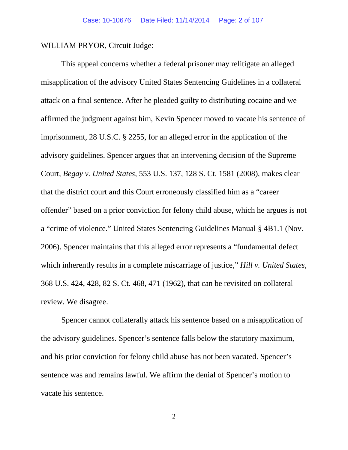WILLIAM PRYOR, Circuit Judge:

This appeal concerns whether a federal prisoner may relitigate an alleged misapplication of the advisory United States Sentencing Guidelines in a collateral attack on a final sentence. After he pleaded guilty to distributing cocaine and we affirmed the judgment against him, Kevin Spencer moved to vacate his sentence of imprisonment, 28 U.S.C. § 2255, for an alleged error in the application of the advisory guidelines. Spencer argues that an intervening decision of the Supreme Court, *Begay v. United States*, 553 U.S. 137, 128 S. Ct. 1581 (2008), makes clear that the district court and this Court erroneously classified him as a "career offender" based on a prior conviction for felony child abuse, which he argues is not a "crime of violence." United States Sentencing Guidelines Manual § 4B1.1 (Nov. 2006). Spencer maintains that this alleged error represents a "fundamental defect which inherently results in a complete miscarriage of justice," *Hill v. United States*, 368 U.S. 424, 428, 82 S. Ct. 468, 471 (1962), that can be revisited on collateral review. We disagree.

Spencer cannot collaterally attack his sentence based on a misapplication of the advisory guidelines. Spencer's sentence falls below the statutory maximum, and his prior conviction for felony child abuse has not been vacated. Spencer's sentence was and remains lawful. We affirm the denial of Spencer's motion to vacate his sentence.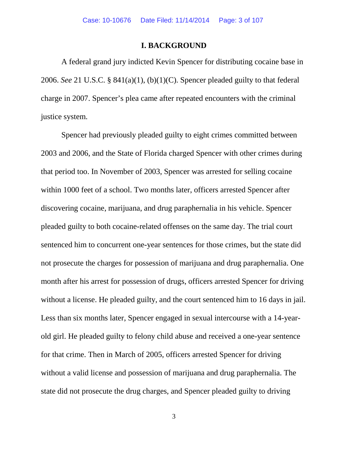## **I. BACKGROUND**

A federal grand jury indicted Kevin Spencer for distributing cocaine base in 2006. *See* 21 U.S.C. § 841(a)(1), (b)(1)(C). Spencer pleaded guilty to that federal charge in 2007. Spencer's plea came after repeated encounters with the criminal justice system.

Spencer had previously pleaded guilty to eight crimes committed between 2003 and 2006, and the State of Florida charged Spencer with other crimes during that period too. In November of 2003, Spencer was arrested for selling cocaine within 1000 feet of a school. Two months later, officers arrested Spencer after discovering cocaine, marijuana, and drug paraphernalia in his vehicle. Spencer pleaded guilty to both cocaine-related offenses on the same day. The trial court sentenced him to concurrent one-year sentences for those crimes, but the state did not prosecute the charges for possession of marijuana and drug paraphernalia. One month after his arrest for possession of drugs, officers arrested Spencer for driving without a license. He pleaded guilty, and the court sentenced him to 16 days in jail. Less than six months later, Spencer engaged in sexual intercourse with a 14-yearold girl. He pleaded guilty to felony child abuse and received a one-year sentence for that crime. Then in March of 2005, officers arrested Spencer for driving without a valid license and possession of marijuana and drug paraphernalia. The state did not prosecute the drug charges, and Spencer pleaded guilty to driving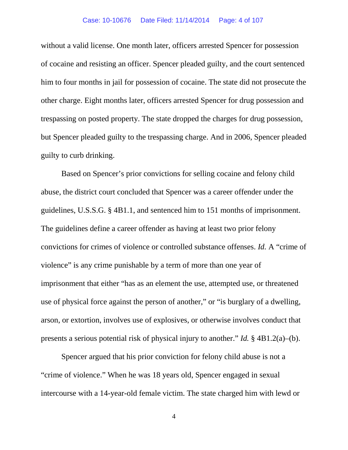#### Case: 10-10676 Date Filed: 11/14/2014 Page: 4 of 107

without a valid license. One month later, officers arrested Spencer for possession of cocaine and resisting an officer. Spencer pleaded guilty, and the court sentenced him to four months in jail for possession of cocaine. The state did not prosecute the other charge. Eight months later, officers arrested Spencer for drug possession and trespassing on posted property. The state dropped the charges for drug possession, but Spencer pleaded guilty to the trespassing charge. And in 2006, Spencer pleaded guilty to curb drinking.

Based on Spencer's prior convictions for selling cocaine and felony child abuse, the district court concluded that Spencer was a career offender under the guidelines, U.S.S.G. § 4B1.1, and sentenced him to 151 months of imprisonment. The guidelines define a career offender as having at least two prior felony convictions for crimes of violence or controlled substance offenses. *Id.* A "crime of violence" is any crime punishable by a term of more than one year of imprisonment that either "has as an element the use, attempted use, or threatened use of physical force against the person of another," or "is burglary of a dwelling, arson, or extortion, involves use of explosives, or otherwise involves conduct that presents a serious potential risk of physical injury to another." *Id.* § 4B1.2(a)–(b).

Spencer argued that his prior conviction for felony child abuse is not a "crime of violence." When he was 18 years old, Spencer engaged in sexual intercourse with a 14-year-old female victim. The state charged him with lewd or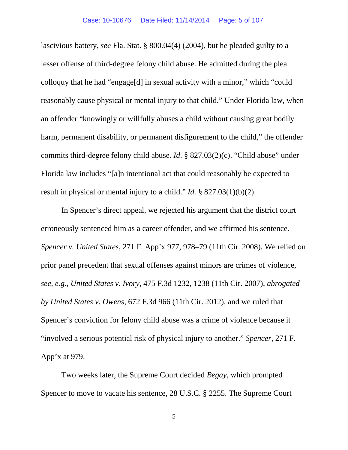lascivious battery, *see* Fla. Stat. § 800.04(4) (2004), but he pleaded guilty to a lesser offense of third-degree felony child abuse. He admitted during the plea colloquy that he had "engage[d] in sexual activity with a minor," which "could reasonably cause physical or mental injury to that child." Under Florida law, when an offender "knowingly or willfully abuses a child without causing great bodily harm, permanent disability, or permanent disfigurement to the child," the offender commits third-degree felony child abuse. *Id*. § 827.03(2)(c). "Child abuse" under Florida law includes "[a]n intentional act that could reasonably be expected to result in physical or mental injury to a child." *Id.* § 827.03(1)(b)(2).

In Spencer's direct appeal, we rejected his argument that the district court erroneously sentenced him as a career offender, and we affirmed his sentence. *Spencer v. United States*, 271 F. App'x 977, 978–79 (11th Cir. 2008). We relied on prior panel precedent that sexual offenses against minors are crimes of violence, *see, e.g.*, *United States v. Ivory*, 475 F.3d 1232, 1238 (11th Cir. 2007), *abrogated by United States v. Owens*, 672 F.3d 966 (11th Cir. 2012), and we ruled that Spencer's conviction for felony child abuse was a crime of violence because it "involved a serious potential risk of physical injury to another." *Spencer*, 271 F. App'x at 979.

Two weeks later, the Supreme Court decided *Begay*, which prompted Spencer to move to vacate his sentence, 28 U.S.C. § 2255. The Supreme Court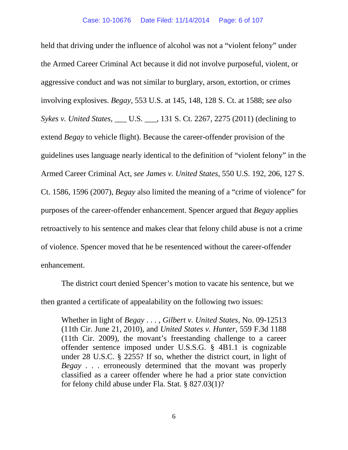held that driving under the influence of alcohol was not a "violent felony" under the Armed Career Criminal Act because it did not involve purposeful, violent, or aggressive conduct and was not similar to burglary, arson, extortion, or crimes involving explosives. *Begay*, 553 U.S. at 145, 148, 128 S. Ct. at 1588; *see also Sykes v. United States*, \_\_\_ U.S. \_\_\_, 131 S. Ct. 2267, 2275 (2011) (declining to extend *Begay* to vehicle flight). Because the career-offender provision of the guidelines uses language nearly identical to the definition of "violent felony" in the Armed Career Criminal Act, *see James v. United States*, 550 U.S. 192, 206, 127 S. Ct. 1586, 1596 (2007), *Begay* also limited the meaning of a "crime of violence" for purposes of the career-offender enhancement. Spencer argued that *Begay* applies retroactively to his sentence and makes clear that felony child abuse is not a crime of violence. Spencer moved that he be resentenced without the career-offender enhancement.

The district court denied Spencer's motion to vacate his sentence, but we then granted a certificate of appealability on the following two issues:

Whether in light of *Begay* . . . , *Gilbert v. United States*, No. 09-12513 (11th Cir. June 21, 2010), and *United States v. Hunter*, 559 F.3d 1188 (11th Cir. 2009), the movant's freestanding challenge to a career offender sentence imposed under U.S.S.G. § 4B1.1 is cognizable under 28 U.S.C. § 2255? If so, whether the district court, in light of *Begay* . . . erroneously determined that the movant was properly classified as a career offender where he had a prior state conviction for felony child abuse under Fla. Stat. § 827.03(1)?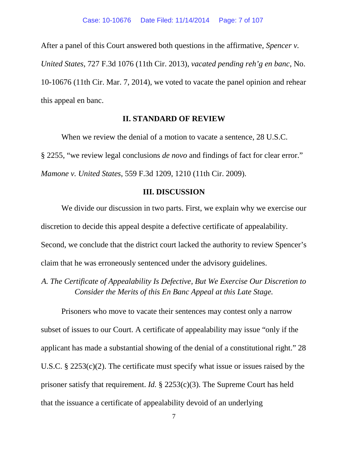After a panel of this Court answered both questions in the affirmative, *Spencer v. United States*, 727 F.3d 1076 (11th Cir. 2013), *vacated pending reh'g en banc*, No. 10-10676 (11th Cir. Mar. 7, 2014), we voted to vacate the panel opinion and rehear this appeal en banc.

## **II. STANDARD OF REVIEW**

When we review the denial of a motion to vacate a sentence, 28 U.S.C. § 2255, "we review legal conclusions *de novo* and findings of fact for clear error." *Mamone v. United States*, 559 F.3d 1209, 1210 (11th Cir. 2009).

## **III. DISCUSSION**

We divide our discussion in two parts. First, we explain why we exercise our discretion to decide this appeal despite a defective certificate of appealability. Second, we conclude that the district court lacked the authority to review Spencer's claim that he was erroneously sentenced under the advisory guidelines.

*A. The Certificate of Appealability Is Defective, But We Exercise Our Discretion to Consider the Merits of this En Banc Appeal at this Late Stage.*

Prisoners who move to vacate their sentences may contest only a narrow subset of issues to our Court. A certificate of appealability may issue "only if the applicant has made a substantial showing of the denial of a constitutional right." 28 U.S.C. § 2253(c)(2). The certificate must specify what issue or issues raised by the prisoner satisfy that requirement. *Id.* § 2253(c)(3). The Supreme Court has held that the issuance a certificate of appealability devoid of an underlying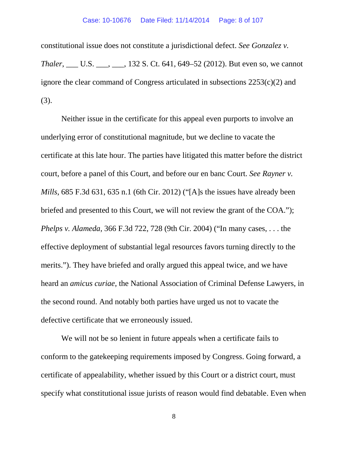constitutional issue does not constitute a jurisdictional defect. *See Gonzalez v. Thaler*, \_\_\_ U.S. \_\_\_, \_\_\_, 132 S. Ct. 641, 649–52 (2012). But even so, we cannot ignore the clear command of Congress articulated in subsections 2253(c)(2) and (3).

Neither issue in the certificate for this appeal even purports to involve an underlying error of constitutional magnitude, but we decline to vacate the certificate at this late hour. The parties have litigated this matter before the district court, before a panel of this Court, and before our en banc Court. *See Rayner v. Mills*, 685 F.3d 631, 635 n.1 (6th Cir. 2012) ("[A]s the issues have already been briefed and presented to this Court, we will not review the grant of the COA."); *Phelps v. Alameda*, 366 F.3d 722, 728 (9th Cir. 2004) ("In many cases, . . . the effective deployment of substantial legal resources favors turning directly to the merits."). They have briefed and orally argued this appeal twice, and we have heard an *amicus curiae*, the National Association of Criminal Defense Lawyers, in the second round. And notably both parties have urged us not to vacate the defective certificate that we erroneously issued.

We will not be so lenient in future appeals when a certificate fails to conform to the gatekeeping requirements imposed by Congress. Going forward, a certificate of appealability, whether issued by this Court or a district court, must specify what constitutional issue jurists of reason would find debatable. Even when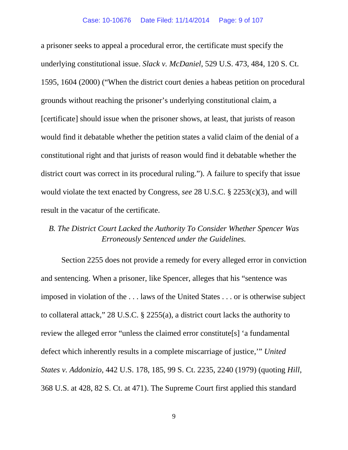a prisoner seeks to appeal a procedural error, the certificate must specify the underlying constitutional issue. *Slack v. McDaniel*, 529 U.S. 473, 484, 120 S. Ct. 1595, 1604 (2000) ("When the district court denies a habeas petition on procedural grounds without reaching the prisoner's underlying constitutional claim, a [certificate] should issue when the prisoner shows, at least, that jurists of reason would find it debatable whether the petition states a valid claim of the denial of a constitutional right and that jurists of reason would find it debatable whether the district court was correct in its procedural ruling."). A failure to specify that issue would violate the text enacted by Congress, *see* 28 U.S.C. § 2253(c)(3), and will result in the vacatur of the certificate.

# *B. The District Court Lacked the Authority To Consider Whether Spencer Was Erroneously Sentenced under the Guidelines.*

Section 2255 does not provide a remedy for every alleged error in conviction and sentencing. When a prisoner, like Spencer, alleges that his "sentence was imposed in violation of the . . . laws of the United States . . . or is otherwise subject to collateral attack," 28 U.S.C. § 2255(a), a district court lacks the authority to review the alleged error "unless the claimed error constitute[s] 'a fundamental defect which inherently results in a complete miscarriage of justice,'" *United States v. Addonizio*, 442 U.S. 178, 185, 99 S. Ct. 2235, 2240 (1979) (quoting *Hill*, 368 U.S. at 428, 82 S. Ct. at 471). The Supreme Court first applied this standard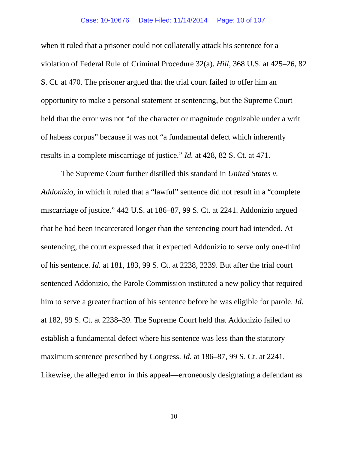when it ruled that a prisoner could not collaterally attack his sentence for a violation of Federal Rule of Criminal Procedure 32(a). *Hill*, 368 U.S. at 425–26, 82 S. Ct. at 470. The prisoner argued that the trial court failed to offer him an opportunity to make a personal statement at sentencing, but the Supreme Court held that the error was not "of the character or magnitude cognizable under a writ of habeas corpus" because it was not "a fundamental defect which inherently results in a complete miscarriage of justice." *Id.* at 428, 82 S. Ct. at 471.

The Supreme Court further distilled this standard in *United States v. Addonizio*, in which it ruled that a "lawful" sentence did not result in a "complete miscarriage of justice." 442 U.S. at 186–87, 99 S. Ct. at 2241. Addonizio argued that he had been incarcerated longer than the sentencing court had intended. At sentencing, the court expressed that it expected Addonizio to serve only one-third of his sentence. *Id.* at 181, 183, 99 S. Ct. at 2238, 2239. But after the trial court sentenced Addonizio, the Parole Commission instituted a new policy that required him to serve a greater fraction of his sentence before he was eligible for parole. *Id.* at 182, 99 S. Ct. at 2238–39. The Supreme Court held that Addonizio failed to establish a fundamental defect where his sentence was less than the statutory maximum sentence prescribed by Congress. *Id.* at 186–87, 99 S. Ct. at 2241. Likewise, the alleged error in this appeal—erroneously designating a defendant as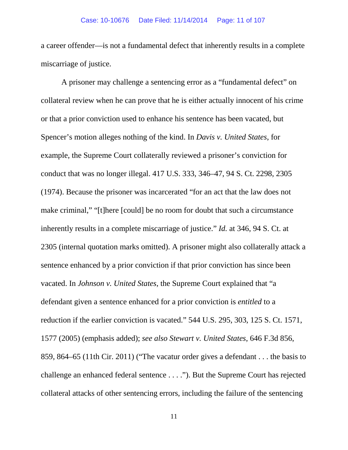a career offender—is not a fundamental defect that inherently results in a complete miscarriage of justice.

A prisoner may challenge a sentencing error as a "fundamental defect" on collateral review when he can prove that he is either actually innocent of his crime or that a prior conviction used to enhance his sentence has been vacated, but Spencer's motion alleges nothing of the kind. In *Davis v. United States*, for example, the Supreme Court collaterally reviewed a prisoner's conviction for conduct that was no longer illegal. 417 U.S. 333, 346–47, 94 S. Ct. 2298, 2305 (1974). Because the prisoner was incarcerated "for an act that the law does not make criminal," "[t]here [could] be no room for doubt that such a circumstance inherently results in a complete miscarriage of justice." *Id.* at 346, 94 S. Ct. at 2305 (internal quotation marks omitted). A prisoner might also collaterally attack a sentence enhanced by a prior conviction if that prior conviction has since been vacated. In *Johnson v. United States*, the Supreme Court explained that "a defendant given a sentence enhanced for a prior conviction is *entitled* to a reduction if the earlier conviction is vacated." 544 U.S. 295, 303, 125 S. Ct. 1571, 1577 (2005) (emphasis added); *see also Stewart v. United States*, 646 F.3d 856, 859, 864–65 (11th Cir. 2011) ("The vacatur order gives a defendant . . . the basis to challenge an enhanced federal sentence . . . ."). But the Supreme Court has rejected collateral attacks of other sentencing errors, including the failure of the sentencing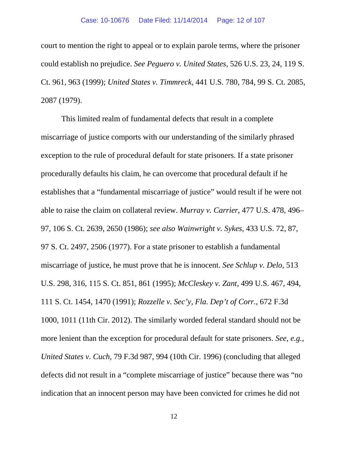court to mention the right to appeal or to explain parole terms, where the prisoner could establish no prejudice. *See Peguero v. United States*, 526 U.S. 23, 24, 119 S. Ct. 961, 963 (1999); *United States v. Timmreck*, 441 U.S. 780, 784, 99 S. Ct. 2085, 2087 (1979).

This limited realm of fundamental defects that result in a complete miscarriage of justice comports with our understanding of the similarly phrased exception to the rule of procedural default for state prisoners. If a state prisoner procedurally defaults his claim, he can overcome that procedural default if he establishes that a "fundamental miscarriage of justice" would result if he were not able to raise the claim on collateral review. *Murray v. Carrier*, 477 U.S. 478, 496– 97, 106 S. Ct. 2639, 2650 (1986); *see also Wainwright v. Sykes*, 433 U.S. 72, 87, 97 S. Ct. 2497, 2506 (1977). For a state prisoner to establish a fundamental miscarriage of justice, he must prove that he is innocent. *See Schlup v. Delo*, 513 U.S. 298, 316, 115 S. Ct. 851, 861 (1995); *McCleskey v. Zant*, 499 U.S. 467, 494, 111 S. Ct. 1454, 1470 (1991); *Rozzelle v. Sec'y, Fla. Dep't of Corr.*, 672 F.3d 1000, 1011 (11th Cir. 2012). The similarly worded federal standard should not be more lenient than the exception for procedural default for state prisoners. *See, e.g.*, *United States v. Cuch*, 79 F.3d 987, 994 (10th Cir. 1996) (concluding that alleged defects did not result in a "complete miscarriage of justice" because there was "no indication that an innocent person may have been convicted for crimes he did not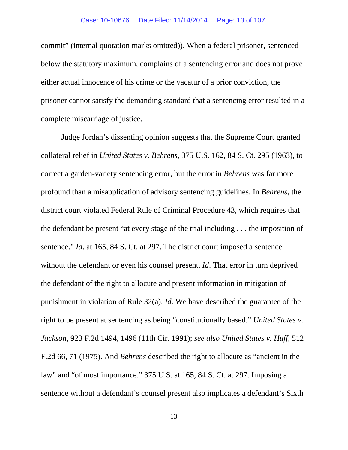commit" (internal quotation marks omitted)). When a federal prisoner, sentenced below the statutory maximum, complains of a sentencing error and does not prove either actual innocence of his crime or the vacatur of a prior conviction, the prisoner cannot satisfy the demanding standard that a sentencing error resulted in a complete miscarriage of justice.

Judge Jordan's dissenting opinion suggests that the Supreme Court granted collateral relief in *United States v. Behrens*, 375 U.S. 162, 84 S. Ct. 295 (1963), to correct a garden-variety sentencing error, but the error in *Behrens* was far more profound than a misapplication of advisory sentencing guidelines. In *Behrens*, the district court violated Federal Rule of Criminal Procedure 43, which requires that the defendant be present "at every stage of the trial including . . . the imposition of sentence." *Id*. at 165, 84 S. Ct. at 297. The district court imposed a sentence without the defendant or even his counsel present. *Id*. That error in turn deprived the defendant of the right to allocute and present information in mitigation of punishment in violation of Rule 32(a). *Id*. We have described the guarantee of the right to be present at sentencing as being "constitutionally based." *United States v. Jackson*, 923 F.2d 1494, 1496 (11th Cir. 1991); *see also United States v. Huff*, 512 F.2d 66, 71 (1975). And *Behrens* described the right to allocute as "ancient in the law" and "of most importance." 375 U.S. at 165, 84 S. Ct. at 297. Imposing a sentence without a defendant's counsel present also implicates a defendant's Sixth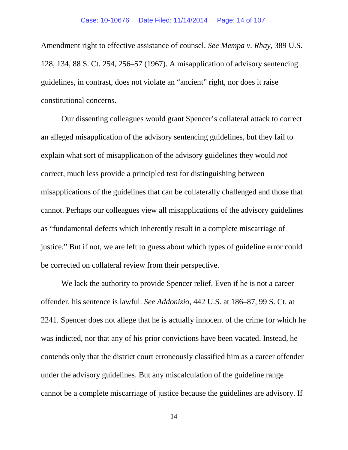Amendment right to effective assistance of counsel. *See Mempa v. Rhay*, 389 U.S. 128, 134, 88 S. Ct. 254, 256–57 (1967). A misapplication of advisory sentencing guidelines, in contrast, does not violate an "ancient" right, nor does it raise constitutional concerns.

Our dissenting colleagues would grant Spencer's collateral attack to correct an alleged misapplication of the advisory sentencing guidelines, but they fail to explain what sort of misapplication of the advisory guidelines they would *not* correct, much less provide a principled test for distinguishing between misapplications of the guidelines that can be collaterally challenged and those that cannot. Perhaps our colleagues view all misapplications of the advisory guidelines as "fundamental defects which inherently result in a complete miscarriage of justice." But if not, we are left to guess about which types of guideline error could be corrected on collateral review from their perspective.

We lack the authority to provide Spencer relief. Even if he is not a career offender, his sentence is lawful. *See Addonizio*, 442 U.S. at 186–87, 99 S. Ct. at 2241. Spencer does not allege that he is actually innocent of the crime for which he was indicted, nor that any of his prior convictions have been vacated. Instead, he contends only that the district court erroneously classified him as a career offender under the advisory guidelines. But any miscalculation of the guideline range cannot be a complete miscarriage of justice because the guidelines are advisory. If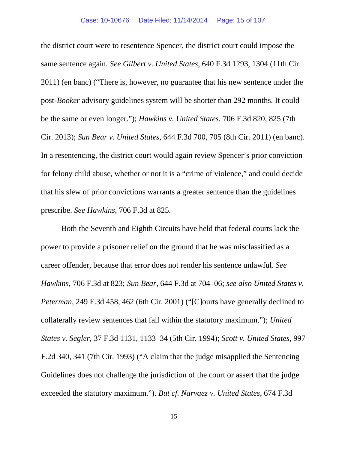the district court were to resentence Spencer, the district court could impose the same sentence again. *See Gilbert v. United States*, 640 F.3d 1293, 1304 (11th Cir. 2011) (en banc) ("There is, however, no guarantee that his new sentence under the post-*Booker* advisory guidelines system will be shorter than 292 months. It could be the same or even longer."); *Hawkins v. United States*, 706 F.3d 820, 825 (7th Cir. 2013); *Sun Bear v. United States*, 644 F.3d 700, 705 (8th Cir. 2011) (en banc). In a resentencing, the district court would again review Spencer's prior conviction for felony child abuse, whether or not it is a "crime of violence," and could decide that his slew of prior convictions warrants a greater sentence than the guidelines prescribe. *See Hawkins*, 706 F.3d at 825.

Both the Seventh and Eighth Circuits have held that federal courts lack the power to provide a prisoner relief on the ground that he was misclassified as a career offender, because that error does not render his sentence unlawful. *See Hawkins*, 706 F.3d at 823; *Sun Bear*, 644 F.3d at 704–06; *see also United States v. Peterman*, 249 F.3d 458, 462 (6th Cir. 2001) ("[C]ourts have generally declined to collaterally review sentences that fall within the statutory maximum."); *United States v. Segler*, 37 F.3d 1131, 1133–34 (5th Cir. 1994); *Scott v. United States*, 997 F.2d 340, 341 (7th Cir. 1993) ("A claim that the judge misapplied the Sentencing Guidelines does not challenge the jurisdiction of the court or assert that the judge exceeded the statutory maximum."). *But cf. Narvaez v. United States*, 674 F.3d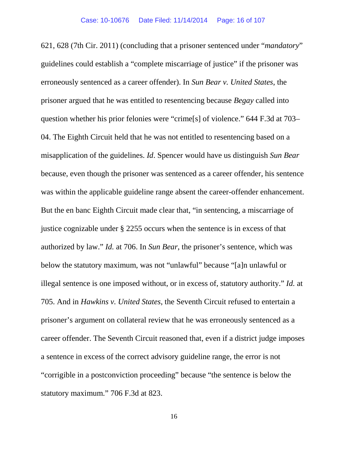621, 628 (7th Cir. 2011) (concluding that a prisoner sentenced under "*mandatory*" guidelines could establish a "complete miscarriage of justice" if the prisoner was erroneously sentenced as a career offender). In *Sun Bear v. United States*, the prisoner argued that he was entitled to resentencing because *Begay* called into question whether his prior felonies were "crime[s] of violence." 644 F.3d at 703– 04. The Eighth Circuit held that he was not entitled to resentencing based on a misapplication of the guidelines. *Id*. Spencer would have us distinguish *Sun Bear*  because, even though the prisoner was sentenced as a career offender, his sentence was within the applicable guideline range absent the career-offender enhancement. But the en banc Eighth Circuit made clear that, "in sentencing, a miscarriage of justice cognizable under § 2255 occurs when the sentence is in excess of that authorized by law." *Id.* at 706. In *Sun Bear*, the prisoner's sentence, which was below the statutory maximum, was not "unlawful" because "[a]n unlawful or illegal sentence is one imposed without, or in excess of, statutory authority." *Id.* at 705. And in *Hawkins v. United States*, the Seventh Circuit refused to entertain a prisoner's argument on collateral review that he was erroneously sentenced as a career offender. The Seventh Circuit reasoned that, even if a district judge imposes a sentence in excess of the correct advisory guideline range, the error is not "corrigible in a postconviction proceeding" because "the sentence is below the statutory maximum." 706 F.3d at 823.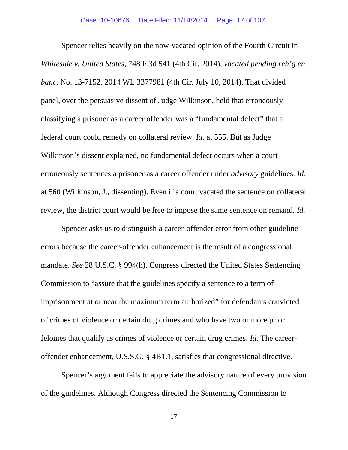Spencer relies heavily on the now-vacated opinion of the Fourth Circuit in *Whiteside v. United States*, 748 F.3d 541 (4th Cir. 2014), *vacated pending reh'g en banc*, No. 13-7152, 2014 WL 3377981 (4th Cir. July 10, 2014). That divided panel, over the persuasive dissent of Judge Wilkinson, held that erroneously classifying a prisoner as a career offender was a "fundamental defect" that a federal court could remedy on collateral review. *Id.* at 555. But as Judge Wilkinson's dissent explained, no fundamental defect occurs when a court erroneously sentences a prisoner as a career offender under *advisory* guidelines. *Id.* at 560 (Wilkinson, J., dissenting). Even if a court vacated the sentence on collateral review, the district court would be free to impose the same sentence on remand. *Id.*

Spencer asks us to distinguish a career-offender error from other guideline errors because the career-offender enhancement is the result of a congressional mandate. *See* 28 U.S.C. § 994(h). Congress directed the United States Sentencing Commission to "assure that the guidelines specify a sentence to a term of imprisonment at or near the maximum term authorized" for defendants convicted of crimes of violence or certain drug crimes and who have two or more prior felonies that qualify as crimes of violence or certain drug crimes. *Id.* The careeroffender enhancement, U.S.S.G. § 4B1.1, satisfies that congressional directive.

Spencer's argument fails to appreciate the advisory nature of every provision of the guidelines. Although Congress directed the Sentencing Commission to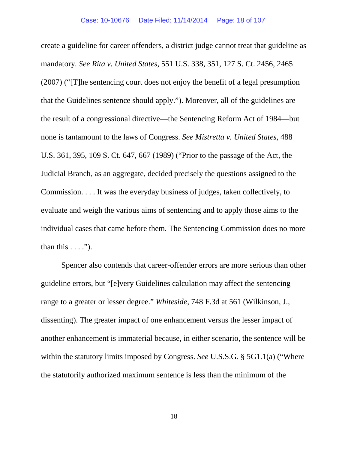create a guideline for career offenders, a district judge cannot treat that guideline as mandatory. *See Rita v. United States*, 551 U.S. 338, 351, 127 S. Ct. 2456, 2465 (2007) ("[T]he sentencing court does not enjoy the benefit of a legal presumption that the Guidelines sentence should apply."). Moreover, all of the guidelines are the result of a congressional directive—the Sentencing Reform Act of 1984—but none is tantamount to the laws of Congress. *See Mistretta v. United States*, 488 U.S. 361, 395, 109 S. Ct. 647, 667 (1989) ("Prior to the passage of the Act, the Judicial Branch, as an aggregate, decided precisely the questions assigned to the Commission. . . . It was the everyday business of judges, taken collectively, to evaluate and weigh the various aims of sentencing and to apply those aims to the individual cases that came before them. The Sentencing Commission does no more than this  $\dots$ .").

Spencer also contends that career-offender errors are more serious than other guideline errors, but "[e]very Guidelines calculation may affect the sentencing range to a greater or lesser degree." *Whiteside*, 748 F.3d at 561 (Wilkinson, J., dissenting). The greater impact of one enhancement versus the lesser impact of another enhancement is immaterial because, in either scenario, the sentence will be within the statutory limits imposed by Congress. *See* U.S.S.G. § 5G1.1(a) ("Where the statutorily authorized maximum sentence is less than the minimum of the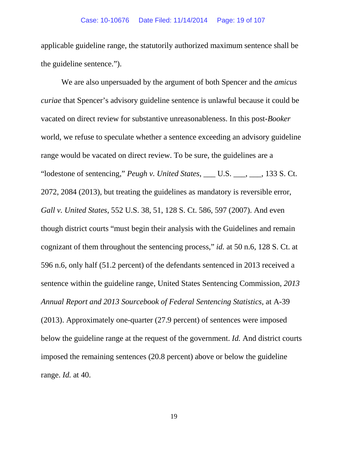applicable guideline range, the statutorily authorized maximum sentence shall be the guideline sentence.").

We are also unpersuaded by the argument of both Spencer and the *amicus curiae* that Spencer's advisory guideline sentence is unlawful because it could be vacated on direct review for substantive unreasonableness. In this post-*Booker*  world, we refuse to speculate whether a sentence exceeding an advisory guideline range would be vacated on direct review. To be sure, the guidelines are a "lodestone of sentencing," *Peugh v. United States*, \_\_\_ U.S. \_\_\_, \_\_\_, 133 S. Ct. 2072, 2084 (2013), but treating the guidelines as mandatory is reversible error, *Gall v. United States*, 552 U.S. 38, 51, 128 S. Ct. 586, 597 (2007). And even though district courts "must begin their analysis with the Guidelines and remain cognizant of them throughout the sentencing process," *id.* at 50 n.6, 128 S. Ct. at 596 n.6, only half (51.2 percent) of the defendants sentenced in 2013 received a sentence within the guideline range, United States Sentencing Commission, *2013 Annual Report and 2013 Sourcebook of Federal Sentencing Statistics*, at A-39 (2013). Approximately one-quarter (27.9 percent) of sentences were imposed below the guideline range at the request of the government. *Id.* And district courts imposed the remaining sentences (20.8 percent) above or below the guideline range. *Id.* at 40.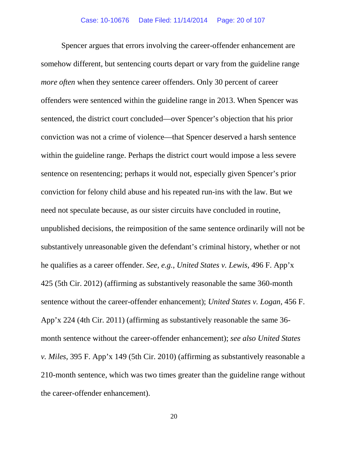Spencer argues that errors involving the career-offender enhancement are somehow different, but sentencing courts depart or vary from the guideline range *more often* when they sentence career offenders. Only 30 percent of career offenders were sentenced within the guideline range in 2013. When Spencer was sentenced, the district court concluded—over Spencer's objection that his prior conviction was not a crime of violence—that Spencer deserved a harsh sentence within the guideline range. Perhaps the district court would impose a less severe sentence on resentencing; perhaps it would not, especially given Spencer's prior conviction for felony child abuse and his repeated run-ins with the law. But we need not speculate because, as our sister circuits have concluded in routine, unpublished decisions, the reimposition of the same sentence ordinarily will not be substantively unreasonable given the defendant's criminal history, whether or not he qualifies as a career offender. *See, e.g.*, *United States v. Lewis*, 496 F. App'x 425 (5th Cir. 2012) (affirming as substantively reasonable the same 360-month sentence without the career-offender enhancement); *United States v. Logan*, 456 F. App'x 224 (4th Cir. 2011) (affirming as substantively reasonable the same 36 month sentence without the career-offender enhancement); *see also United States v. Miles*, 395 F. App'x 149 (5th Cir. 2010) (affirming as substantively reasonable a 210-month sentence, which was two times greater than the guideline range without the career-offender enhancement).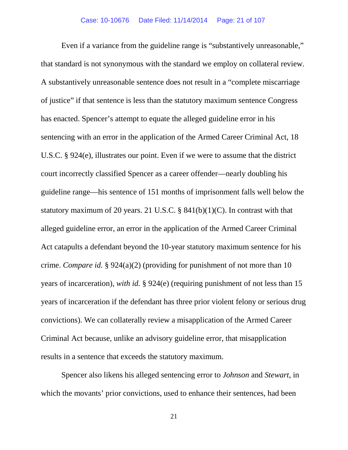Even if a variance from the guideline range is "substantively unreasonable," that standard is not synonymous with the standard we employ on collateral review. A substantively unreasonable sentence does not result in a "complete miscarriage of justice" if that sentence is less than the statutory maximum sentence Congress has enacted. Spencer's attempt to equate the alleged guideline error in his sentencing with an error in the application of the Armed Career Criminal Act, 18 U.S.C. § 924(e), illustrates our point. Even if we were to assume that the district court incorrectly classified Spencer as a career offender—nearly doubling his guideline range—his sentence of 151 months of imprisonment falls well below the statutory maximum of 20 years. 21 U.S.C.  $\S$  841(b)(1)(C). In contrast with that alleged guideline error, an error in the application of the Armed Career Criminal Act catapults a defendant beyond the 10-year statutory maximum sentence for his crime. *Compare id.* § 924(a)(2) (providing for punishment of not more than 10 years of incarceration), *with id.* § 924(e) (requiring punishment of not less than 15 years of incarceration if the defendant has three prior violent felony or serious drug convictions). We can collaterally review a misapplication of the Armed Career Criminal Act because, unlike an advisory guideline error, that misapplication results in a sentence that exceeds the statutory maximum.

Spencer also likens his alleged sentencing error to *Johnson* and *Stewart*, in which the movants' prior convictions, used to enhance their sentences, had been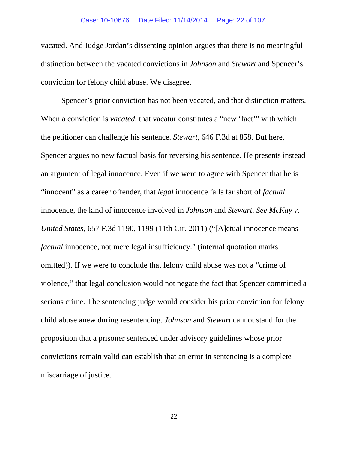vacated. And Judge Jordan's dissenting opinion argues that there is no meaningful distinction between the vacated convictions in *Johnson* and *Stewart* and Spencer's conviction for felony child abuse. We disagree.

Spencer's prior conviction has not been vacated, and that distinction matters. When a conviction is *vacated*, that vacatur constitutes a "new 'fact" with which the petitioner can challenge his sentence. *Stewart*, 646 F.3d at 858. But here, Spencer argues no new factual basis for reversing his sentence. He presents instead an argument of legal innocence. Even if we were to agree with Spencer that he is "innocent" as a career offender, that *legal* innocence falls far short of *factual* innocence, the kind of innocence involved in *Johnson* and *Stewart*. *See McKay v. United States*, 657 F.3d 1190, 1199 (11th Cir. 2011) ("[A]ctual innocence means *factual* innocence, not mere legal insufficiency." (internal quotation marks omitted)). If we were to conclude that felony child abuse was not a "crime of violence," that legal conclusion would not negate the fact that Spencer committed a serious crime. The sentencing judge would consider his prior conviction for felony child abuse anew during resentencing. *Johnson* and *Stewart* cannot stand for the proposition that a prisoner sentenced under advisory guidelines whose prior convictions remain valid can establish that an error in sentencing is a complete miscarriage of justice.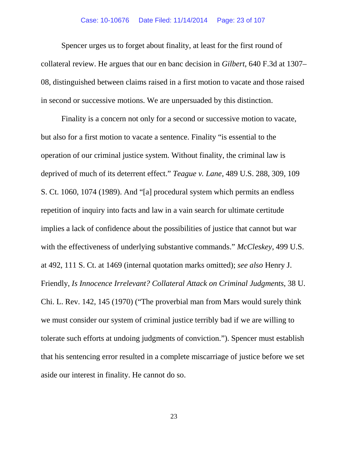#### Case: 10-10676 Date Filed: 11/14/2014 Page: 23 of 107

Spencer urges us to forget about finality, at least for the first round of collateral review. He argues that our en banc decision in *Gilbert*, 640 F.3d at 1307– 08, distinguished between claims raised in a first motion to vacate and those raised in second or successive motions. We are unpersuaded by this distinction.

Finality is a concern not only for a second or successive motion to vacate, but also for a first motion to vacate a sentence. Finality "is essential to the operation of our criminal justice system. Without finality, the criminal law is deprived of much of its deterrent effect." *Teague v. Lane*, 489 U.S. 288, 309, 109 S. Ct. 1060, 1074 (1989). And "[a] procedural system which permits an endless repetition of inquiry into facts and law in a vain search for ultimate certitude implies a lack of confidence about the possibilities of justice that cannot but war with the effectiveness of underlying substantive commands." *McCleskey*, 499 U.S. at 492, 111 S. Ct. at 1469 (internal quotation marks omitted); *see also* Henry J. Friendly, *Is Innocence Irrelevant? Collateral Attack on Criminal Judgments*, 38 U. Chi. L. Rev. 142, 145 (1970) ("The proverbial man from Mars would surely think we must consider our system of criminal justice terribly bad if we are willing to tolerate such efforts at undoing judgments of conviction."). Spencer must establish that his sentencing error resulted in a complete miscarriage of justice before we set aside our interest in finality. He cannot do so.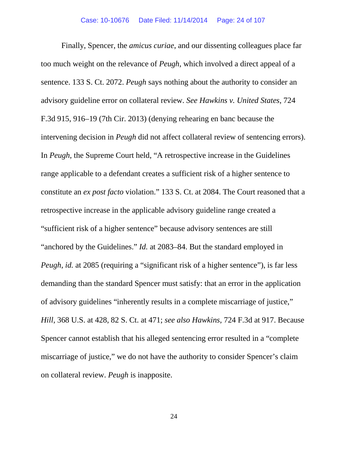Finally, Spencer, the *amicus curiae*, and our dissenting colleagues place far too much weight on the relevance of *Peugh*, which involved a direct appeal of a sentence. 133 S. Ct. 2072. *Peugh* says nothing about the authority to consider an advisory guideline error on collateral review. *See Hawkins v. United States*, 724 F.3d 915, 916–19 (7th Cir. 2013) (denying rehearing en banc because the intervening decision in *Peugh* did not affect collateral review of sentencing errors). In *Peugh*, the Supreme Court held, "A retrospective increase in the Guidelines range applicable to a defendant creates a sufficient risk of a higher sentence to constitute an *ex post facto* violation." 133 S. Ct. at 2084. The Court reasoned that a retrospective increase in the applicable advisory guideline range created a "sufficient risk of a higher sentence" because advisory sentences are still "anchored by the Guidelines." *Id.* at 2083–84. But the standard employed in *Peugh, id.* at 2085 (requiring a "significant risk of a higher sentence"), is far less demanding than the standard Spencer must satisfy: that an error in the application of advisory guidelines "inherently results in a complete miscarriage of justice," *Hill*, 368 U.S. at 428, 82 S. Ct. at 471; *see also Hawkins*, 724 F.3d at 917. Because Spencer cannot establish that his alleged sentencing error resulted in a "complete miscarriage of justice," we do not have the authority to consider Spencer's claim on collateral review. *Peugh* is inapposite.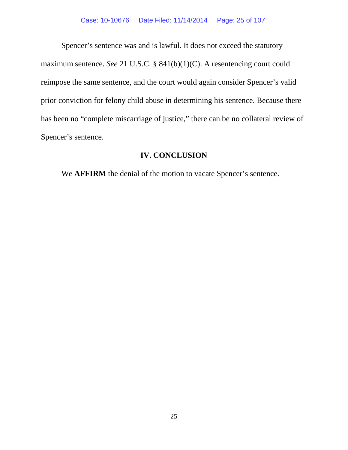Spencer's sentence was and is lawful. It does not exceed the statutory maximum sentence. *See* 21 U.S.C. § 841(b)(1)(C). A resentencing court could reimpose the same sentence, and the court would again consider Spencer's valid prior conviction for felony child abuse in determining his sentence. Because there has been no "complete miscarriage of justice," there can be no collateral review of Spencer's sentence.

# **IV. CONCLUSION**

We **AFFIRM** the denial of the motion to vacate Spencer's sentence.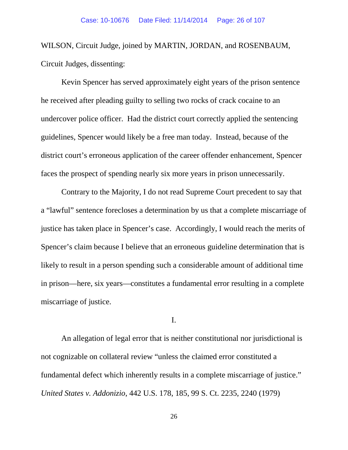WILSON, Circuit Judge, joined by MARTIN, JORDAN, and ROSENBAUM, Circuit Judges, dissenting:

Kevin Spencer has served approximately eight years of the prison sentence he received after pleading guilty to selling two rocks of crack cocaine to an undercover police officer. Had the district court correctly applied the sentencing guidelines, Spencer would likely be a free man today. Instead, because of the district court's erroneous application of the career offender enhancement, Spencer faces the prospect of spending nearly six more years in prison unnecessarily.

Contrary to the Majority, I do not read Supreme Court precedent to say that a "lawful" sentence forecloses a determination by us that a complete miscarriage of justice has taken place in Spencer's case. Accordingly, I would reach the merits of Spencer's claim because I believe that an erroneous guideline determination that is likely to result in a person spending such a considerable amount of additional time in prison—here, six years—constitutes a fundamental error resulting in a complete miscarriage of justice.

I.

An allegation of legal error that is neither constitutional nor jurisdictional is not cognizable on collateral review "unless the claimed error constituted a fundamental defect which inherently results in a complete miscarriage of justice." *United States v. Addonizio*, 442 U.S. 178, 185, 99 S. Ct. 2235, 2240 (1979)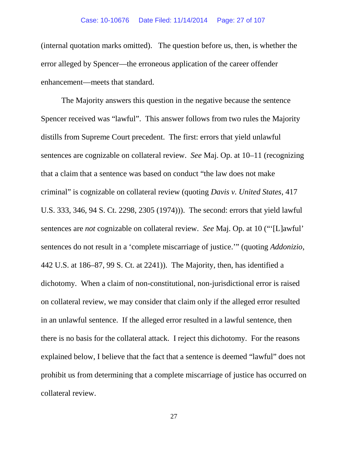(internal quotation marks omitted). The question before us, then, is whether the error alleged by Spencer—the erroneous application of the career offender enhancement—meets that standard.

The Majority answers this question in the negative because the sentence Spencer received was "lawful". This answer follows from two rules the Majority distills from Supreme Court precedent. The first: errors that yield unlawful sentences are cognizable on collateral review. *See* Maj. Op. at 10–11 (recognizing that a claim that a sentence was based on conduct "the law does not make criminal" is cognizable on collateral review (quoting *Davis v. United States*, 417 U.S. 333, 346, 94 S. Ct. 2298, 2305 (1974))). The second: errors that yield lawful sentences are *not* cognizable on collateral review. *See* Maj. Op. at 10 ("'[L]awful' sentences do not result in a 'complete miscarriage of justice.'" (quoting *Addonizio*, 442 U.S. at 186–87, 99 S. Ct. at 2241)). The Majority, then, has identified a dichotomy. When a claim of non-constitutional, non-jurisdictional error is raised on collateral review, we may consider that claim only if the alleged error resulted in an unlawful sentence. If the alleged error resulted in a lawful sentence, then there is no basis for the collateral attack. I reject this dichotomy. For the reasons explained below, I believe that the fact that a sentence is deemed "lawful" does not prohibit us from determining that a complete miscarriage of justice has occurred on collateral review.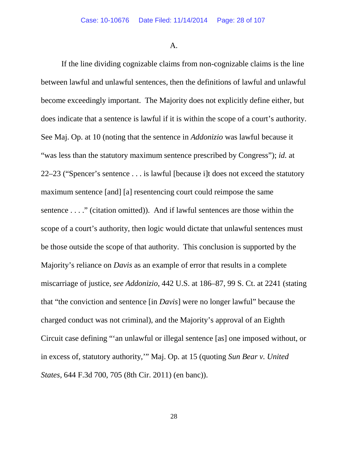A.

If the line dividing cognizable claims from non-cognizable claims is the line between lawful and unlawful sentences, then the definitions of lawful and unlawful become exceedingly important. The Majority does not explicitly define either, but does indicate that a sentence is lawful if it is within the scope of a court's authority. See Maj. Op. at 10 (noting that the sentence in *Addonizio* was lawful because it "was less than the statutory maximum sentence prescribed by Congress"); *id.* at 22–23 ("Spencer's sentence . . . is lawful [because i]t does not exceed the statutory maximum sentence [and] [a] resentencing court could reimpose the same sentence . . . ." (citation omitted)). And if lawful sentences are those within the scope of a court's authority, then logic would dictate that unlawful sentences must be those outside the scope of that authority. This conclusion is supported by the Majority's reliance on *Davis* as an example of error that results in a complete miscarriage of justice, *see Addonizio*, 442 U.S. at 186–87, 99 S. Ct. at 2241 (stating that "the conviction and sentence [in *Davis*] were no longer lawful" because the charged conduct was not criminal), and the Majority's approval of an Eighth Circuit case defining "'an unlawful or illegal sentence [as] one imposed without, or in excess of, statutory authority,'" Maj. Op. at 15 (quoting *Sun Bear v. United States*, 644 F.3d 700, 705 (8th Cir. 2011) (en banc)).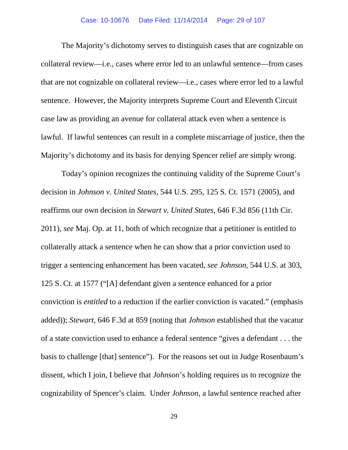The Majority's dichotomy serves to distinguish cases that are cognizable on collateral review—i.e., cases where error led to an unlawful sentence—from cases that are not cognizable on collateral review—i.e., cases where error led to a lawful sentence. However, the Majority interprets Supreme Court and Eleventh Circuit case law as providing an avenue for collateral attack even when a sentence is lawful. If lawful sentences can result in a complete miscarriage of justice, then the Majority's dichotomy and its basis for denying Spencer relief are simply wrong.

Today's opinion recognizes the continuing validity of the Supreme Court's decision in *Johnson v. United States*, 544 U.S. 295, 125 S. Ct. 1571 (2005), and reaffirms our own decision in *Stewart v. United States*, 646 F.3d 856 (11th Cir. 2011), *see* Maj. Op. at 11, both of which recognize that a petitioner is entitled to collaterally attack a sentence when he can show that a prior conviction used to trigger a sentencing enhancement has been vacated, *see Johnson*, 544 U.S. at 303, 125 S. Ct. at 1577 ("[A] defendant given a sentence enhanced for a prior conviction is *entitled* to a reduction if the earlier conviction is vacated." (emphasis added)); *Stewart*, 646 F.3d at 859 (noting that *Johnson* established that the vacatur of a state conviction used to enhance a federal sentence "gives a defendant . . . the basis to challenge [that] sentence"). For the reasons set out in Judge Rosenbaum's dissent, which I join, I believe that *Johnson*'s holding requires us to recognize the cognizability of Spencer's claim. Under *Johnson*, a lawful sentence reached after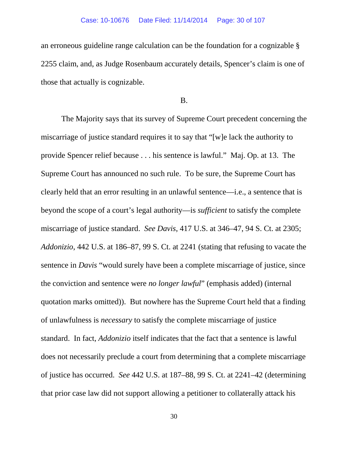an erroneous guideline range calculation can be the foundation for a cognizable § 2255 claim, and, as Judge Rosenbaum accurately details, Spencer's claim is one of those that actually is cognizable.

### B.

The Majority says that its survey of Supreme Court precedent concerning the miscarriage of justice standard requires it to say that "[w]e lack the authority to provide Spencer relief because . . . his sentence is lawful." Maj. Op. at 13. The Supreme Court has announced no such rule. To be sure, the Supreme Court has clearly held that an error resulting in an unlawful sentence—i.e., a sentence that is beyond the scope of a court's legal authority—is *sufficient* to satisfy the complete miscarriage of justice standard. *See Davis*, 417 U.S. at 346–47, 94 S. Ct. at 2305; *Addonizio*, 442 U.S. at 186–87, 99 S. Ct. at 2241 (stating that refusing to vacate the sentence in *Davis* "would surely have been a complete miscarriage of justice, since the conviction and sentence were *no longer lawful*" (emphasis added) (internal quotation marks omitted)). But nowhere has the Supreme Court held that a finding of unlawfulness is *necessary* to satisfy the complete miscarriage of justice standard. In fact, *Addonizio* itself indicates that the fact that a sentence is lawful does not necessarily preclude a court from determining that a complete miscarriage of justice has occurred. *See* 442 U.S. at 187–88, 99 S. Ct. at 2241–42 (determining that prior case law did not support allowing a petitioner to collaterally attack his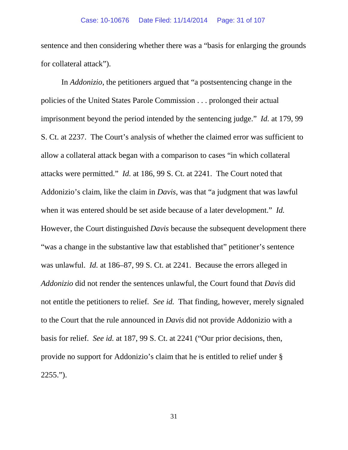sentence and then considering whether there was a "basis for enlarging the grounds for collateral attack").

In *Addonizio*, the petitioners argued that "a postsentencing change in the policies of the United States Parole Commission . . . prolonged their actual imprisonment beyond the period intended by the sentencing judge." *Id.* at 179, 99 S. Ct. at 2237. The Court's analysis of whether the claimed error was sufficient to allow a collateral attack began with a comparison to cases "in which collateral attacks were permitted." *Id.* at 186, 99 S. Ct. at 2241. The Court noted that Addonizio's claim, like the claim in *Davis*, was that "a judgment that was lawful when it was entered should be set aside because of a later development." *Id.* However, the Court distinguished *Davis* because the subsequent development there "was a change in the substantive law that established that" petitioner's sentence was unlawful. *Id.* at 186–87, 99 S. Ct. at 2241. Because the errors alleged in *Addonizio* did not render the sentences unlawful, the Court found that *Davis* did not entitle the petitioners to relief*. See id.* That finding, however, merely signaled to the Court that the rule announced in *Davis* did not provide Addonizio with a basis for relief. *See id.* at 187, 99 S. Ct. at 2241 ("Our prior decisions, then, provide no support for Addonizio's claim that he is entitled to relief under § 2255.").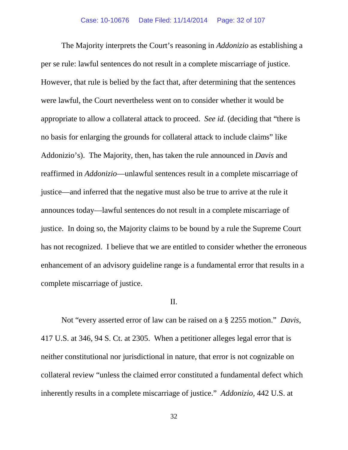The Majority interprets the Court's reasoning in *Addonizio* as establishing a per se rule: lawful sentences do not result in a complete miscarriage of justice. However, that rule is belied by the fact that, after determining that the sentences were lawful, the Court nevertheless went on to consider whether it would be appropriate to allow a collateral attack to proceed. *See id.* (deciding that "there is no basis for enlarging the grounds for collateral attack to include claims" like Addonizio's). The Majority, then, has taken the rule announced in *Davis* and reaffirmed in *Addonizio*—unlawful sentences result in a complete miscarriage of justice—and inferred that the negative must also be true to arrive at the rule it announces today—lawful sentences do not result in a complete miscarriage of justice. In doing so, the Majority claims to be bound by a rule the Supreme Court has not recognized. I believe that we are entitled to consider whether the erroneous enhancement of an advisory guideline range is a fundamental error that results in a complete miscarriage of justice.

## II.

Not "every asserted error of law can be raised on a § 2255 motion." *Davis*, 417 U.S. at 346, 94 S. Ct. at 2305. When a petitioner alleges legal error that is neither constitutional nor jurisdictional in nature, that error is not cognizable on collateral review "unless the claimed error constituted a fundamental defect which inherently results in a complete miscarriage of justice." *Addonizio*, 442 U.S. at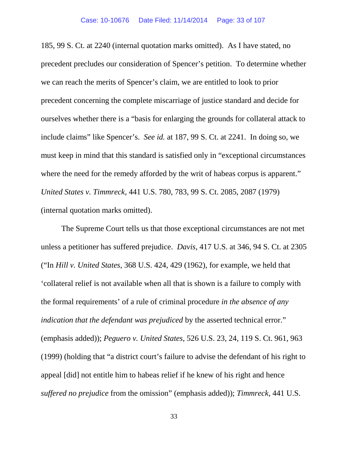185, 99 S. Ct. at 2240 (internal quotation marks omitted). As I have stated, no precedent precludes our consideration of Spencer's petition. To determine whether we can reach the merits of Spencer's claim, we are entitled to look to prior precedent concerning the complete miscarriage of justice standard and decide for ourselves whether there is a "basis for enlarging the grounds for collateral attack to include claims" like Spencer's. *See id.* at 187, 99 S. Ct. at 2241. In doing so, we must keep in mind that this standard is satisfied only in "exceptional circumstances where the need for the remedy afforded by the writ of habeas corpus is apparent." *United States v. Timmreck*, 441 U.S. 780, 783, 99 S. Ct. 2085, 2087 (1979) (internal quotation marks omitted).

The Supreme Court tells us that those exceptional circumstances are not met unless a petitioner has suffered prejudice. *Davis*, 417 U.S. at 346, 94 S. Ct. at 2305 ("In *Hill v. United States*, 368 U.S. 424, 429 (1962), for example, we held that 'collateral relief is not available when all that is shown is a failure to comply with the formal requirements' of a rule of criminal procedure *in the absence of any indication that the defendant was prejudiced* by the asserted technical error." (emphasis added)); *Peguero v. United States*, 526 U.S. 23, 24, 119 S. Ct. 961, 963 (1999) (holding that "a district court's failure to advise the defendant of his right to appeal [did] not entitle him to habeas relief if he knew of his right and hence *suffered no prejudice* from the omission" (emphasis added)); *Timmreck*, 441 U.S.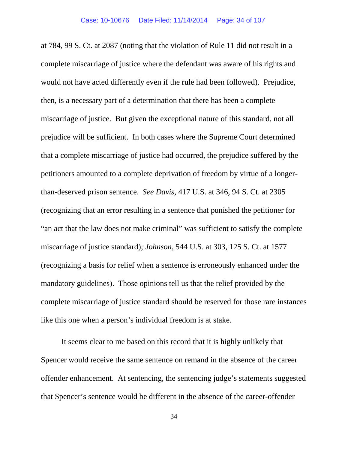at 784, 99 S. Ct. at 2087 (noting that the violation of Rule 11 did not result in a complete miscarriage of justice where the defendant was aware of his rights and would not have acted differently even if the rule had been followed). Prejudice, then, is a necessary part of a determination that there has been a complete miscarriage of justice. But given the exceptional nature of this standard, not all prejudice will be sufficient. In both cases where the Supreme Court determined that a complete miscarriage of justice had occurred, the prejudice suffered by the petitioners amounted to a complete deprivation of freedom by virtue of a longerthan-deserved prison sentence. *See Davis*, 417 U.S. at 346, 94 S. Ct. at 2305 (recognizing that an error resulting in a sentence that punished the petitioner for "an act that the law does not make criminal" was sufficient to satisfy the complete miscarriage of justice standard); *Johnson*, 544 U.S. at 303, 125 S. Ct. at 1577 (recognizing a basis for relief when a sentence is erroneously enhanced under the mandatory guidelines). Those opinions tell us that the relief provided by the complete miscarriage of justice standard should be reserved for those rare instances like this one when a person's individual freedom is at stake.

It seems clear to me based on this record that it is highly unlikely that Spencer would receive the same sentence on remand in the absence of the career offender enhancement. At sentencing, the sentencing judge's statements suggested that Spencer's sentence would be different in the absence of the career-offender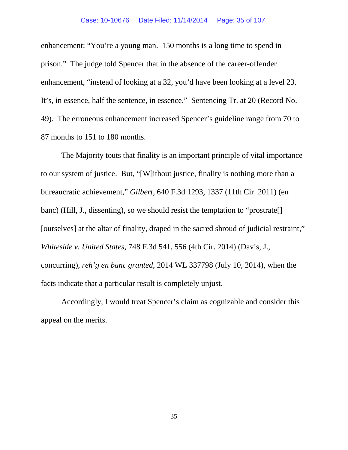enhancement: "You're a young man. 150 months is a long time to spend in prison." The judge told Spencer that in the absence of the career-offender enhancement, "instead of looking at a 32, you'd have been looking at a level 23. It's, in essence, half the sentence, in essence." Sentencing Tr. at 20 (Record No. 49). The erroneous enhancement increased Spencer's guideline range from 70 to 87 months to 151 to 180 months.

The Majority touts that finality is an important principle of vital importance to our system of justice. But, "[W]ithout justice, finality is nothing more than a bureaucratic achievement," *Gilbert*, 640 F.3d 1293, 1337 (11th Cir. 2011) (en banc) (Hill, J., dissenting), so we should resist the temptation to "prostrate[] [ourselves] at the altar of finality, draped in the sacred shroud of judicial restraint," *Whiteside v. United States*, 748 F.3d 541, 556 (4th Cir. 2014) (Davis, J., concurring), *reh'g en banc granted*, 2014 WL 337798 (July 10, 2014), when the facts indicate that a particular result is completely unjust.

Accordingly, I would treat Spencer's claim as cognizable and consider this appeal on the merits.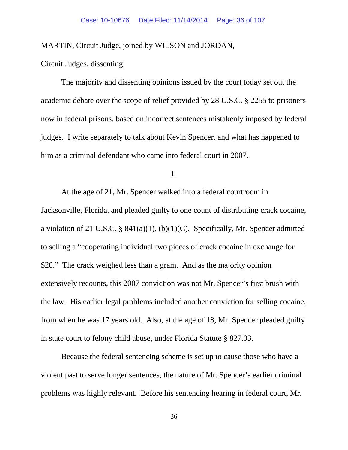MARTIN, Circuit Judge, joined by WILSON and JORDAN,

Circuit Judges, dissenting:

The majority and dissenting opinions issued by the court today set out the academic debate over the scope of relief provided by 28 U.S.C. § 2255 to prisoners now in federal prisons, based on incorrect sentences mistakenly imposed by federal judges. I write separately to talk about Kevin Spencer, and what has happened to him as a criminal defendant who came into federal court in 2007.

I.

At the age of 21, Mr. Spencer walked into a federal courtroom in Jacksonville, Florida, and pleaded guilty to one count of distributing crack cocaine, a violation of 21 U.S.C. § 841(a)(1), (b)(1)(C). Specifically, Mr. Spencer admitted to selling a "cooperating individual two pieces of crack cocaine in exchange for \$20." The crack weighed less than a gram. And as the majority opinion extensively recounts, this 2007 conviction was not Mr. Spencer's first brush with the law. His earlier legal problems included another conviction for selling cocaine, from when he was 17 years old. Also, at the age of 18, Mr. Spencer pleaded guilty in state court to felony child abuse, under Florida Statute § 827.03.

Because the federal sentencing scheme is set up to cause those who have a violent past to serve longer sentences, the nature of Mr. Spencer's earlier criminal problems was highly relevant. Before his sentencing hearing in federal court, Mr.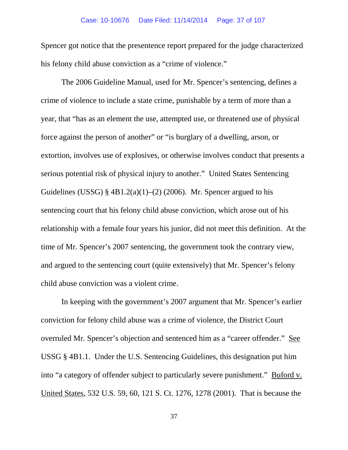### Case: 10-10676 Date Filed: 11/14/2014 Page: 37 of 107

Spencer got notice that the presentence report prepared for the judge characterized his felony child abuse conviction as a "crime of violence."

The 2006 Guideline Manual, used for Mr. Spencer's sentencing, defines a crime of violence to include a state crime, punishable by a term of more than a year, that "has as an element the use, attempted use, or threatened use of physical force against the person of another" or "is burglary of a dwelling, arson, or extortion, involves use of explosives, or otherwise involves conduct that presents a serious potential risk of physical injury to another." United States Sentencing Guidelines (USSG) §  $4B1.2(a)(1)–(2)$  (2006). Mr. Spencer argued to his sentencing court that his felony child abuse conviction, which arose out of his relationship with a female four years his junior, did not meet this definition. At the time of Mr. Spencer's 2007 sentencing, the government took the contrary view, and argued to the sentencing court (quite extensively) that Mr. Spencer's felony child abuse conviction was a violent crime.

In keeping with the government's 2007 argument that Mr. Spencer's earlier conviction for felony child abuse was a crime of violence, the District Court overruled Mr. Spencer's objection and sentenced him as a "career offender." See USSG § 4B1.1. Under the U.S. Sentencing Guidelines, this designation put him into "a category of offender subject to particularly severe punishment." Buford v. United States, 532 U.S. 59, 60, 121 S. Ct. 1276, 1278 (2001). That is because the

37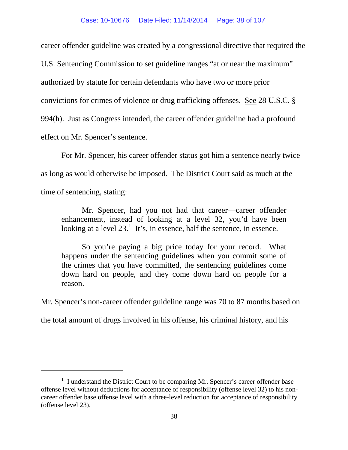career offender guideline was created by a congressional directive that required the

U.S. Sentencing Commission to set guideline ranges "at or near the maximum"

authorized by statute for certain defendants who have two or more prior

convictions for crimes of violence or drug trafficking offenses. See 28 U.S.C. §

994(h). Just as Congress intended, the career offender guideline had a profound

effect on Mr. Spencer's sentence.

 $\overline{a}$ 

For Mr. Spencer, his career offender status got him a sentence nearly twice as long as would otherwise be imposed. The District Court said as much at the time of sentencing, stating:

Mr. Spencer, had you not had that career—career offender enhancement, instead of looking at a level 32, you'd have been looking at a level  $23<sup>1</sup>$  $23<sup>1</sup>$  $23<sup>1</sup>$ . It's, in essence, half the sentence, in essence.

So you're paying a big price today for your record. What happens under the sentencing guidelines when you commit some of the crimes that you have committed, the sentencing guidelines come down hard on people, and they come down hard on people for a reason.

Mr. Spencer's non-career offender guideline range was 70 to 87 months based on

the total amount of drugs involved in his offense, his criminal history, and his

<span id="page-37-0"></span><sup>&</sup>lt;sup>1</sup> I understand the District Court to be comparing Mr. Spencer's career offender base offense level without deductions for acceptance of responsibility (offense level 32) to his noncareer offender base offense level with a three-level reduction for acceptance of responsibility (offense level 23).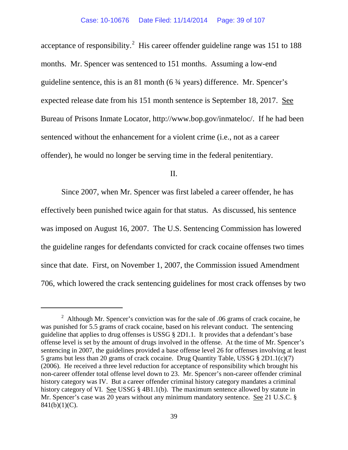acceptance of responsibility.<sup>[2](#page-38-0)</sup> His career offender guideline range was 151 to 188 months. Mr. Spencer was sentenced to 151 months. Assuming a low-end guideline sentence, this is an 81 month (6 ¾ years) difference. Mr. Spencer's expected release date from his 151 month sentence is September 18, 2017. See Bureau of Prisons Inmate Locator, http://www.bop.gov/inmateloc/. If he had been sentenced without the enhancement for a violent crime (i.e., not as a career offender), he would no longer be serving time in the federal penitentiary.

II.

Since 2007, when Mr. Spencer was first labeled a career offender, he has effectively been punished twice again for that status. As discussed, his sentence was imposed on August 16, 2007. The U.S. Sentencing Commission has lowered the guideline ranges for defendants convicted for crack cocaine offenses two times since that date. First, on November 1, 2007, the Commission issued Amendment 706, which lowered the crack sentencing guidelines for most crack offenses by two

<span id="page-38-0"></span><sup>&</sup>lt;sup>2</sup> Although Mr. Spencer's conviction was for the sale of .06 grams of crack cocaine, he was punished for 5.5 grams of crack cocaine, based on his relevant conduct. The sentencing guideline that applies to drug offenses is USSG § 2D1.1. It provides that a defendant's base offense level is set by the amount of drugs involved in the offense. At the time of Mr. Spencer's sentencing in 2007, the guidelines provided a base offense level 26 for offenses involving at least 5 grams but less than 20 grams of crack cocaine. Drug Quantity Table, USSG § 2D1.1(c)(7) (2006). He received a three level reduction for acceptance of responsibility which brought his non-career offender total offense level down to 23. Mr. Spencer's non-career offender criminal history category was IV. But a career offender criminal history category mandates a criminal history category of VI. See USSG § 4B1.1(b). The maximum sentence allowed by statute in Mr. Spencer's case was 20 years without any minimum mandatory sentence. See 21 U.S.C. §  $841(b)(1)(C)$ .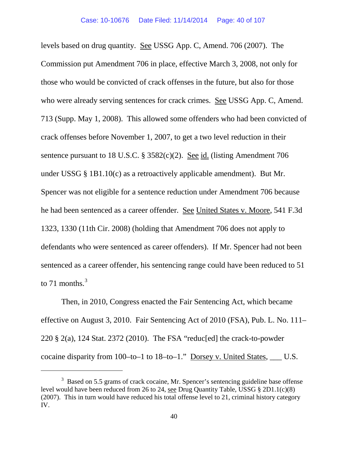levels based on drug quantity. See USSG App. C, Amend. 706 (2007). The Commission put Amendment 706 in place, effective March 3, 2008, not only for those who would be convicted of crack offenses in the future, but also for those who were already serving sentences for crack crimes. See USSG App. C, Amend. 713 (Supp. May 1, 2008). This allowed some offenders who had been convicted of crack offenses before November 1, 2007, to get a two level reduction in their sentence pursuant to 18 U.S.C. § 3582(c)(2). See id. (listing Amendment 706 under USSG § 1B1.10(c) as a retroactively applicable amendment). But Mr. Spencer was not eligible for a sentence reduction under Amendment 706 because he had been sentenced as a career offender. See United States v. Moore, 541 F.3d 1323, 1330 (11th Cir. 2008) (holding that Amendment 706 does not apply to defendants who were sentenced as career offenders). If Mr. Spencer had not been sentenced as a career offender, his sentencing range could have been reduced to 51 to 71 months. $3$ 

Then, in 2010, Congress enacted the Fair Sentencing Act, which became effective on August 3, 2010. Fair Sentencing Act of 2010 (FSA), Pub. L. No. 111– 220 § 2(a), 124 Stat. 2372 (2010). The FSA "reduc[ed] the crack-to-powder cocaine disparity from 100–to–1 to 18–to–1." Dorsey v. United States, \_\_\_ U.S.

<span id="page-39-0"></span> $3$  Based on 5.5 grams of crack cocaine, Mr. Spencer's sentencing guideline base offense level would have been reduced from 26 to 24, see Drug Quantity Table, USSG § 2D1.1(c)(8) (2007). This in turn would have reduced his total offense level to 21, criminal history category IV.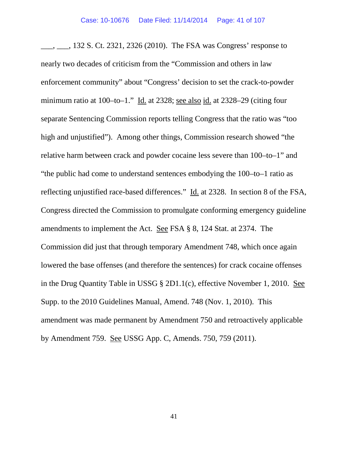\_\_\_, \_\_\_, 132 S. Ct. 2321, 2326 (2010). The FSA was Congress' response to nearly two decades of criticism from the "Commission and others in law enforcement community" about "Congress' decision to set the crack-to-powder minimum ratio at 100–to–1." Id. at 2328; see also id. at 2328–29 (citing four separate Sentencing Commission reports telling Congress that the ratio was "too high and unjustified"). Among other things, Commission research showed "the relative harm between crack and powder cocaine less severe than 100–to–1" and "the public had come to understand sentences embodying the 100–to–1 ratio as reflecting unjustified race-based differences." Id. at 2328. In section 8 of the FSA, Congress directed the Commission to promulgate conforming emergency guideline amendments to implement the Act. See FSA § 8, 124 Stat. at 2374. The Commission did just that through temporary Amendment 748, which once again lowered the base offenses (and therefore the sentences) for crack cocaine offenses in the Drug Quantity Table in USSG § 2D1.1(c), effective November 1, 2010. See Supp. to the 2010 Guidelines Manual, Amend. 748 (Nov. 1, 2010). This amendment was made permanent by Amendment 750 and retroactively applicable by Amendment 759. See USSG App. C, Amends. 750, 759 (2011).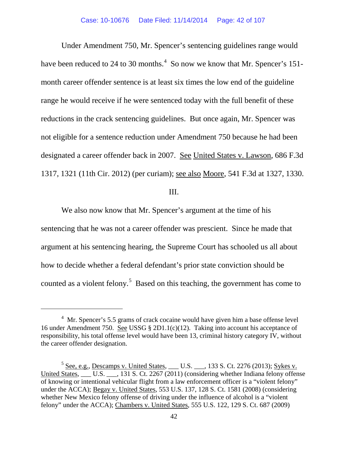Under Amendment 750, Mr. Spencer's sentencing guidelines range would have been reduced to 2[4](#page-41-0) to 30 months. $<sup>4</sup>$  So now we know that Mr. Spencer's 151-</sup> month career offender sentence is at least six times the low end of the guideline range he would receive if he were sentenced today with the full benefit of these reductions in the crack sentencing guidelines. But once again, Mr. Spencer was not eligible for a sentence reduction under Amendment 750 because he had been designated a career offender back in 2007. See United States v. Lawson, 686 F.3d 1317, 1321 (11th Cir. 2012) (per curiam); see also Moore, 541 F.3d at 1327, 1330.

III.

We also now know that Mr. Spencer's argument at the time of his sentencing that he was not a career offender was prescient. Since he made that argument at his sentencing hearing, the Supreme Court has schooled us all about how to decide whether a federal defendant's prior state conviction should be counted as a violent felony.<sup>[5](#page-41-1)</sup> Based on this teaching, the government has come to

<span id="page-41-0"></span><sup>&</sup>lt;sup>4</sup> Mr. Spencer's 5.5 grams of crack cocaine would have given him a base offense level 16 under Amendment 750. See USSG § 2D1.1(c)(12). Taking into account his acceptance of responsibility, his total offense level would have been 13, criminal history category IV, without the career offender designation.

<span id="page-41-1"></span> $5$  See, e.g., Descamps v. United States, \_\_\_ U.S. \_\_\_, 133 S. Ct. 2276 (2013); Sykes v. United States, \_\_\_\_ U.S. \_\_\_, 131 S. Ct. 2267 (2011) (considering whether Indiana felony offense of knowing or intentional vehicular flight from a law enforcement officer is a "violent felony" under the ACCA); Begay v. United States, 553 U.S. 137, 128 S. Ct. 1581 (2008) (considering whether New Mexico felony offense of driving under the influence of alcohol is a "violent felony" under the ACCA); Chambers v. United States, 555 U.S. 122, 129 S. Ct. 687 (2009)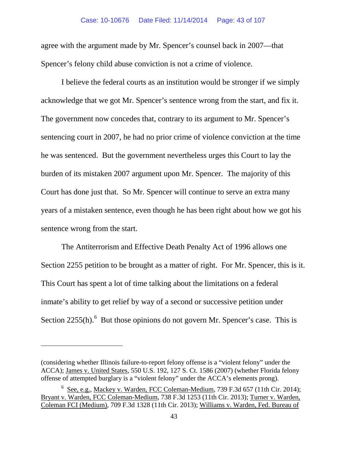agree with the argument made by Mr. Spencer's counsel back in 2007—that Spencer's felony child abuse conviction is not a crime of violence.

I believe the federal courts as an institution would be stronger if we simply acknowledge that we got Mr. Spencer's sentence wrong from the start, and fix it. The government now concedes that, contrary to its argument to Mr. Spencer's sentencing court in 2007, he had no prior crime of violence conviction at the time he was sentenced. But the government nevertheless urges this Court to lay the burden of its mistaken 2007 argument upon Mr. Spencer. The majority of this Court has done just that. So Mr. Spencer will continue to serve an extra many years of a mistaken sentence, even though he has been right about how we got his sentence wrong from the start.

The Antiterrorism and Effective Death Penalty Act of 1996 allows one Section 2255 petition to be brought as a matter of right. For Mr. Spencer, this is it. This Court has spent a lot of time talking about the limitations on a federal inmate's ability to get relief by way of a second or successive petition under Section  $2255(h)$ .<sup>[6](#page-42-0)</sup> But those opinions do not govern Mr. Spencer's case. This is

<sup>(</sup>considering whether Illinois failure-to-report felony offense is a "violent felony" under the ACCA); James v. United States, 550 U.S. 192, 127 S. Ct. 1586 (2007) (whether Florida felony offense of attempted burglary is a "violent felony" under the ACCA's elements prong).

<span id="page-42-0"></span><sup>&</sup>lt;sup>6</sup> See, e.g., Mackey v. Warden, FCC Coleman-Medium, 739 F.3d 657 (11th Cir. 2014); Bryant v. Warden, FCC Coleman-Medium, 738 F.3d 1253 (11th Cir. 2013); Turner v. Warden, Coleman FCI (Medium), 709 F.3d 1328 (11th Cir. 2013); Williams v. Warden, Fed. Bureau of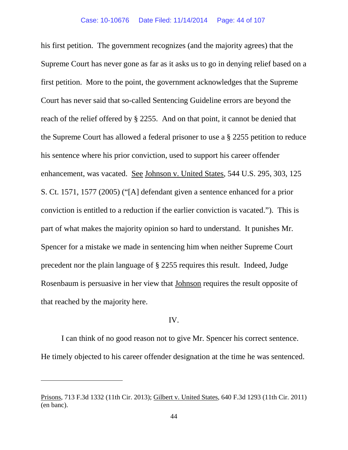his first petition. The government recognizes (and the majority agrees) that the Supreme Court has never gone as far as it asks us to go in denying relief based on a first petition. More to the point, the government acknowledges that the Supreme Court has never said that so-called Sentencing Guideline errors are beyond the reach of the relief offered by § 2255. And on that point, it cannot be denied that the Supreme Court has allowed a federal prisoner to use a § 2255 petition to reduce his sentence where his prior conviction, used to support his career offender enhancement, was vacated. See Johnson v. United States, 544 U.S. 295, 303, 125 S. Ct. 1571, 1577 (2005) ("[A] defendant given a sentence enhanced for a prior conviction is entitled to a reduction if the earlier conviction is vacated."). This is part of what makes the majority opinion so hard to understand. It punishes Mr. Spencer for a mistake we made in sentencing him when neither Supreme Court precedent nor the plain language of § 2255 requires this result. Indeed, Judge Rosenbaum is persuasive in her view that Johnson requires the result opposite of that reached by the majority here.

# IV.

I can think of no good reason not to give Mr. Spencer his correct sentence. He timely objected to his career offender designation at the time he was sentenced.

Prisons, 713 F.3d 1332 (11th Cir. 2013); Gilbert v. United States, 640 F.3d 1293 (11th Cir. 2011) (en banc).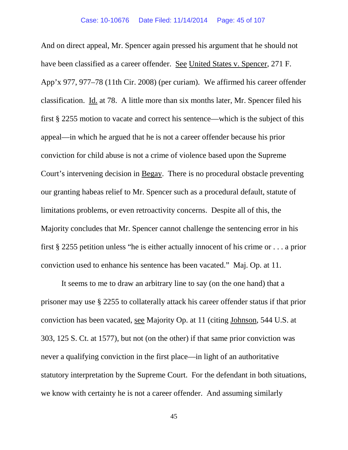And on direct appeal, Mr. Spencer again pressed his argument that he should not have been classified as a career offender. See United States v. Spencer, 271 F. App'x 977, 977–78 (11th Cir. 2008) (per curiam). We affirmed his career offender classification. Id. at 78. A little more than six months later, Mr. Spencer filed his first § 2255 motion to vacate and correct his sentence—which is the subject of this appeal—in which he argued that he is not a career offender because his prior conviction for child abuse is not a crime of violence based upon the Supreme Court's intervening decision in Begay. There is no procedural obstacle preventing our granting habeas relief to Mr. Spencer such as a procedural default, statute of limitations problems, or even retroactivity concerns. Despite all of this, the Majority concludes that Mr. Spencer cannot challenge the sentencing error in his first § 2255 petition unless "he is either actually innocent of his crime or . . . a prior conviction used to enhance his sentence has been vacated." Maj. Op. at 11.

It seems to me to draw an arbitrary line to say (on the one hand) that a prisoner may use § 2255 to collaterally attack his career offender status if that prior conviction has been vacated, see Majority Op. at 11 (citing Johnson, 544 U.S. at 303, 125 S. Ct. at 1577), but not (on the other) if that same prior conviction was never a qualifying conviction in the first place—in light of an authoritative statutory interpretation by the Supreme Court. For the defendant in both situations, we know with certainty he is not a career offender. And assuming similarly

45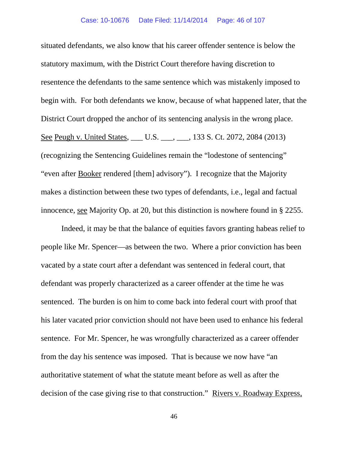situated defendants, we also know that his career offender sentence is below the statutory maximum, with the District Court therefore having discretion to resentence the defendants to the same sentence which was mistakenly imposed to begin with. For both defendants we know, because of what happened later, that the District Court dropped the anchor of its sentencing analysis in the wrong place. See Peugh v. United States, \_\_\_ U.S. \_\_\_, \_\_\_, 133 S. Ct. 2072, 2084 (2013) (recognizing the Sentencing Guidelines remain the "lodestone of sentencing" "even after **Booker** rendered [them] advisory"). I recognize that the Majority makes a distinction between these two types of defendants, i.e., legal and factual innocence, see Majority Op. at 20, but this distinction is nowhere found in § 2255.

Indeed, it may be that the balance of equities favors granting habeas relief to people like Mr. Spencer—as between the two. Where a prior conviction has been vacated by a state court after a defendant was sentenced in federal court, that defendant was properly characterized as a career offender at the time he was sentenced. The burden is on him to come back into federal court with proof that his later vacated prior conviction should not have been used to enhance his federal sentence. For Mr. Spencer, he was wrongfully characterized as a career offender from the day his sentence was imposed. That is because we now have "an authoritative statement of what the statute meant before as well as after the decision of the case giving rise to that construction." Rivers v. Roadway Express,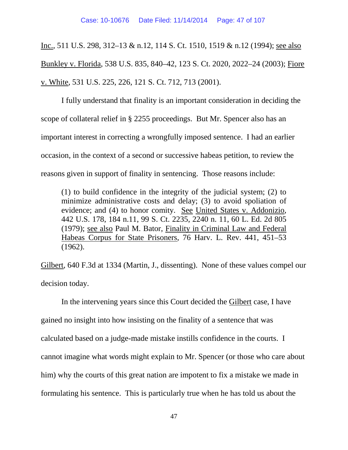Inc., 511 U.S. 298, 312–13 & n.12, 114 S. Ct. 1510, 1519 & n.12 (1994); see also Bunkley v. Florida, 538 U.S. 835, 840–42, 123 S. Ct. 2020, 2022–24 (2003); Fiore v. White, 531 U.S. 225, 226, 121 S. Ct. 712, 713 (2001).

I fully understand that finality is an important consideration in deciding the scope of collateral relief in § 2255 proceedings. But Mr. Spencer also has an important interest in correcting a wrongfully imposed sentence. I had an earlier occasion, in the context of a second or successive habeas petition, to review the reasons given in support of finality in sentencing. Those reasons include:

(1) to build confidence in the integrity of the judicial system; (2) to minimize administrative costs and delay; (3) to avoid spoliation of evidence; and (4) to honor comity. See United States v. Addonizio, 442 U.S. 178, 184 n.11, 99 S. Ct. 2235, 2240 n. 11, 60 L. Ed. 2d 805 (1979); see also Paul M. Bator, [Finality in Criminal Law and](http://web2.westlaw.com/find/default.wl?mt=Westlaw&db=3084&tc=-1&rp=%2ffind%2fdefault.wl&findtype=Y&ordoc=2025313832&serialnum=0110388027&vr=2.0&fn=_top&sv=Split&tf=-1&referencepositiontype=S&pbc=28093525&referenceposition=451&rs=WLW14.07) Federal [Habeas Corpus for State Prisoners, 76 Harv.](http://web2.westlaw.com/find/default.wl?mt=Westlaw&db=3084&tc=-1&rp=%2ffind%2fdefault.wl&findtype=Y&ordoc=2025313832&serialnum=0110388027&vr=2.0&fn=_top&sv=Split&tf=-1&referencepositiontype=S&pbc=28093525&referenceposition=451&rs=WLW14.07) L. Rev. 441, 451–53 [\(1962\).](http://web2.westlaw.com/find/default.wl?mt=Westlaw&db=3084&tc=-1&rp=%2ffind%2fdefault.wl&findtype=Y&ordoc=2025313832&serialnum=0110388027&vr=2.0&fn=_top&sv=Split&tf=-1&referencepositiontype=S&pbc=28093525&referenceposition=451&rs=WLW14.07)

Gilbert, 640 F.3d at 1334 (Martin, J., dissenting). None of these values compel our decision today.

In the intervening years since this Court decided the Gilbert case, I have gained no insight into how insisting on the finality of a sentence that was calculated based on a judge-made mistake instills confidence in the courts. I cannot imagine what words might explain to Mr. Spencer (or those who care about him) why the courts of this great nation are impotent to fix a mistake we made in formulating his sentence. This is particularly true when he has told us about the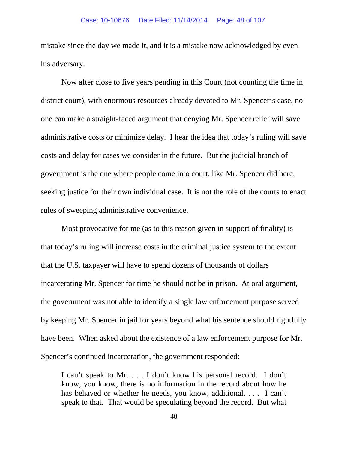mistake since the day we made it, and it is a mistake now acknowledged by even his adversary.

Now after close to five years pending in this Court (not counting the time in district court), with enormous resources already devoted to Mr. Spencer's case, no one can make a straight-faced argument that denying Mr. Spencer relief will save administrative costs or minimize delay. I hear the idea that today's ruling will save costs and delay for cases we consider in the future. But the judicial branch of government is the one where people come into court, like Mr. Spencer did here, seeking justice for their own individual case. It is not the role of the courts to enact rules of sweeping administrative convenience.

Most provocative for me (as to this reason given in support of finality) is that today's ruling will increase costs in the criminal justice system to the extent that the U.S. taxpayer will have to spend dozens of thousands of dollars incarcerating Mr. Spencer for time he should not be in prison. At oral argument, the government was not able to identify a single law enforcement purpose served by keeping Mr. Spencer in jail for years beyond what his sentence should rightfully have been. When asked about the existence of a law enforcement purpose for Mr. Spencer's continued incarceration, the government responded:

I can't speak to Mr. . . . I don't know his personal record. I don't know, you know, there is no information in the record about how he has behaved or whether he needs, you know, additional. . . . I can't speak to that. That would be speculating beyond the record. But what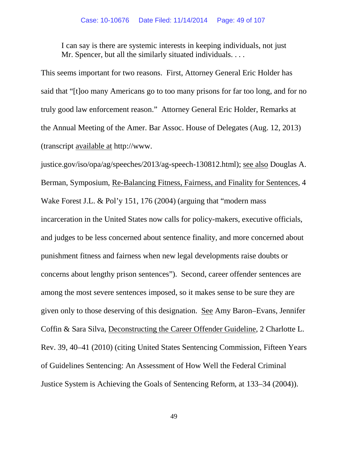I can say is there are systemic interests in keeping individuals, not just Mr. Spencer, but all the similarly situated individuals. . . .

This seems important for two reasons. First, Attorney General Eric Holder has said that "[t]oo many Americans go to too many prisons for far too long, and for no truly good law enforcement reason." Attorney General Eric Holder, Remarks at the Annual Meeting of the Amer. Bar Assoc. House of Delegates (Aug. 12, 2013) (transcript available at http://www.

justice.gov/iso/opa/ag/speeches/2013/ag-speech-130812.html); see also Douglas A. Berman, Symposium, Re-Balancing Fitness, Fairness, and Finality for Sentences, 4 Wake Forest J.L. & Pol'y 151, 176 (2004) (arguing that "modern mass incarceration in the United States now calls for policy-makers, executive officials, and judges to be less concerned about sentence finality, and more concerned about punishment fitness and fairness when new legal developments raise doubts or concerns about lengthy prison sentences"). Second, career offender sentences are among the most severe sentences imposed, so it makes sense to be sure they are given only to those deserving of this designation. See Amy Baron–Evans, Jennifer Coffin & Sara Silva, Deconstructing the Career Offender Guideline*,* 2 Charlotte L. Rev. 39, 40–41 (2010) (citing United States Sentencing Commission, Fifteen Years of Guidelines Sentencing: An Assessment of How Well the Federal Criminal Justice System is Achieving the Goals of Sentencing Reform, at 133–34 (2004)).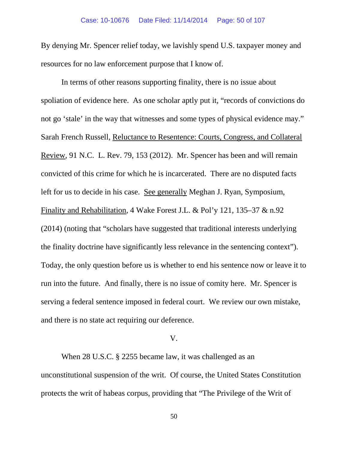By denying Mr. Spencer relief today, we lavishly spend U.S. taxpayer money and resources for no law enforcement purpose that I know of.

In terms of other reasons supporting finality, there is no issue about spoliation of evidence here. As one scholar aptly put it, "records of convictions do not go 'stale' in the way that witnesses and some types of physical evidence may." Sarah French Russell, Reluctance to Resentence: Courts, Congress, and Collateral Review, 91 N.C. L. Rev. 79, 153 (2012). Mr. Spencer has been and will remain convicted of this crime for which he is incarcerated. There are no disputed facts left for us to decide in his case. See generally Meghan J. Ryan, Symposium, Finality and Rehabilitation, 4 Wake Forest J.L. & Pol'y 121, 135–37 & n.92 (2014) (noting that "scholars have suggested that traditional interests underlying the finality doctrine have significantly less relevance in the sentencing context"). Today, the only question before us is whether to end his sentence now or leave it to run into the future. And finally, there is no issue of comity here. Mr. Spencer is serving a federal sentence imposed in federal court. We review our own mistake, and there is no state act requiring our deference.

### V.

When 28 U.S.C. § 2255 became law, it was challenged as an unconstitutional suspension of the writ. Of course, the United States Constitution protects the writ of habeas corpus, providing that "The Privilege of the Writ of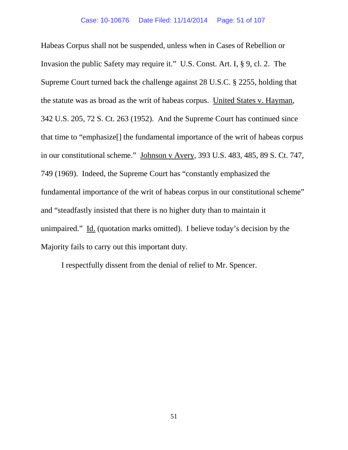Habeas Corpus shall not be suspended, unless when in Cases of Rebellion or Invasion the public Safety may require it." U.S. Const. Art. I, § 9, cl. 2. The Supreme Court turned back the challenge against 28 U.S.C. § 2255, holding that the statute was as broad as the writ of habeas corpus. United States v. Hayman, 342 U.S. 205, 72 S. Ct. 263 (1952). And the Supreme Court has continued since that time to "emphasize[] the fundamental importance of the writ of habeas corpus in our constitutional scheme." Johnson v Avery, 393 U.S. 483, 485, 89 S. Ct. 747, 749 (1969). Indeed, the Supreme Court has "constantly emphasized the fundamental importance of the writ of habeas corpus in our constitutional scheme" and "steadfastly insisted that there is no higher duty than to maintain it unimpaired." Id. (quotation marks omitted). I believe today's decision by the Majority fails to carry out this important duty.

I respectfully dissent from the denial of relief to Mr. Spencer.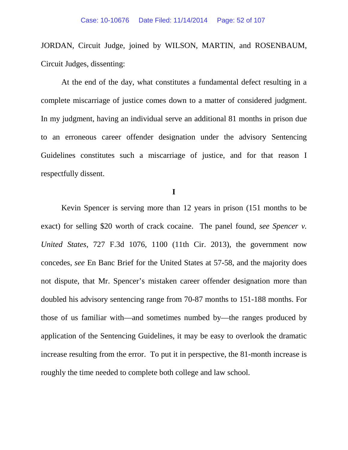JORDAN, Circuit Judge, joined by WILSON, MARTIN, and ROSENBAUM, Circuit Judges, dissenting:

At the end of the day, what constitutes a fundamental defect resulting in a complete miscarriage of justice comes down to a matter of considered judgment. In my judgment, having an individual serve an additional 81 months in prison due to an erroneous career offender designation under the advisory Sentencing Guidelines constitutes such a miscarriage of justice, and for that reason I respectfully dissent.

**I**

Kevin Spencer is serving more than 12 years in prison (151 months to be exact) for selling \$20 worth of crack cocaine. The panel found, *see Spencer v. United States*, 727 F.3d 1076, 1100 (11th Cir. 2013), the government now concedes, *see* En Banc Brief for the United States at 57-58, and the majority does not dispute, that Mr. Spencer's mistaken career offender designation more than doubled his advisory sentencing range from 70-87 months to 151-188 months. For those of us familiar with—and sometimes numbed by—the ranges produced by application of the Sentencing Guidelines, it may be easy to overlook the dramatic increase resulting from the error. To put it in perspective, the 81-month increase is roughly the time needed to complete both college and law school.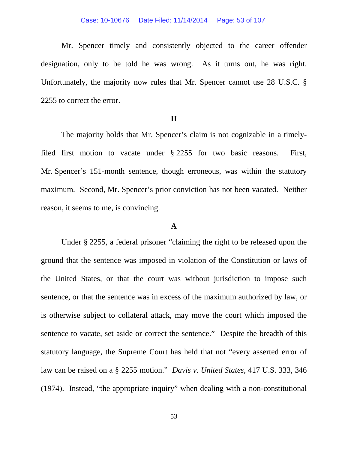#### Case: 10-10676 Date Filed: 11/14/2014 Page: 53 of 107

Mr. Spencer timely and consistently objected to the career offender designation, only to be told he was wrong. As it turns out, he was right. Unfortunately, the majority now rules that Mr. Spencer cannot use 28 U.S.C. § 2255 to correct the error.

## **II**

The majority holds that Mr. Spencer's claim is not cognizable in a timelyfiled first motion to vacate under § 2255 for two basic reasons. First, Mr. Spencer's 151-month sentence, though erroneous, was within the statutory maximum. Second, Mr. Spencer's prior conviction has not been vacated. Neither reason, it seems to me, is convincing.

# **A**

Under § 2255, a federal prisoner "claiming the right to be released upon the ground that the sentence was imposed in violation of the Constitution or laws of the United States, or that the court was without jurisdiction to impose such sentence, or that the sentence was in excess of the maximum authorized by law, or is otherwise subject to collateral attack, may move the court which imposed the sentence to vacate, set aside or correct the sentence." Despite the breadth of this statutory language, the Supreme Court has held that not "every asserted error of law can be raised on a § 2255 motion." *Davis v. United States*, 417 U.S. 333, 346 (1974). Instead, "the appropriate inquiry" when dealing with a non-constitutional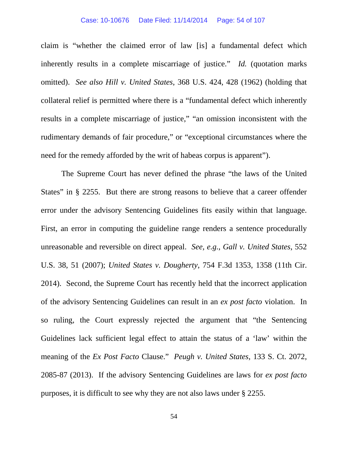#### Case: 10-10676 Date Filed: 11/14/2014 Page: 54 of 107

claim is "whether the claimed error of law [is] a fundamental defect which inherently results in a complete miscarriage of justice." *Id.* (quotation marks omitted). *See also Hill v. United States*, 368 U.S. 424, 428 (1962) (holding that collateral relief is permitted where there is a "fundamental defect which inherently results in a complete miscarriage of justice," "an omission inconsistent with the rudimentary demands of fair procedure," or "exceptional circumstances where the need for the remedy afforded by the writ of habeas corpus is apparent").

The Supreme Court has never defined the phrase "the laws of the United States" in § 2255. But there are strong reasons to believe that a career offender error under the advisory Sentencing Guidelines fits easily within that language. First, an error in computing the guideline range renders a sentence procedurally unreasonable and reversible on direct appeal. *See, e.g.*, *Gall v. United States*, 552 U.S. 38, 51 (2007); *United States v. Dougherty*, 754 F.3d 1353, 1358 (11th Cir. 2014). Second, the Supreme Court has recently held that the incorrect application of the advisory Sentencing Guidelines can result in an *ex post facto* violation. In so ruling, the Court expressly rejected the argument that "the Sentencing Guidelines lack sufficient legal effect to attain the status of a 'law' within the meaning of the *Ex Post Facto* Clause." *Peugh v. United States*, 133 S. Ct. 2072, 2085-87 (2013). If the advisory Sentencing Guidelines are laws for *ex post facto* purposes, it is difficult to see why they are not also laws under § 2255.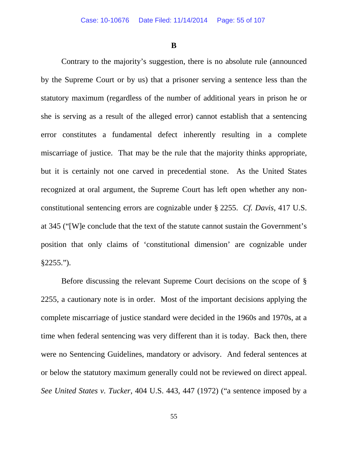**B**

Contrary to the majority's suggestion, there is no absolute rule (announced by the Supreme Court or by us) that a prisoner serving a sentence less than the statutory maximum (regardless of the number of additional years in prison he or she is serving as a result of the alleged error) cannot establish that a sentencing error constitutes a fundamental defect inherently resulting in a complete miscarriage of justice. That may be the rule that the majority thinks appropriate, but it is certainly not one carved in precedential stone. As the United States recognized at oral argument, the Supreme Court has left open whether any nonconstitutional sentencing errors are cognizable under § 2255. *Cf. Davis*, 417 U.S. at 345 ("[W]e conclude that the text of the statute cannot sustain the Government's position that only claims of 'constitutional dimension' are cognizable under §2255.").

Before discussing the relevant Supreme Court decisions on the scope of § 2255, a cautionary note is in order. Most of the important decisions applying the complete miscarriage of justice standard were decided in the 1960s and 1970s, at a time when federal sentencing was very different than it is today. Back then, there were no Sentencing Guidelines, mandatory or advisory. And federal sentences at or below the statutory maximum generally could not be reviewed on direct appeal. *See United States v. Tucker*, 404 U.S. 443, 447 (1972) ("a sentence imposed by a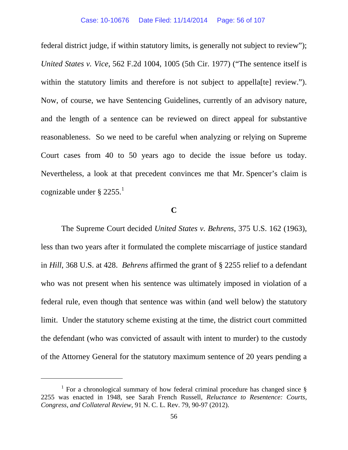federal district judge, if within statutory limits, is generally not subject to review"); *United States v. Vice*, 562 F.2d 1004, 1005 (5th Cir. 1977) ("The sentence itself is within the statutory limits and therefore is not subject to appella<sup>[te]</sup> review."). Now, of course, we have Sentencing Guidelines, currently of an advisory nature, and the length of a sentence can be reviewed on direct appeal for substantive reasonableness. So we need to be careful when analyzing or relying on Supreme Court cases from 40 to 50 years ago to decide the issue before us today. Nevertheless, a look at that precedent convinces me that Mr. Spencer's claim is cognizable under  $\S 2255$ .

# **C**

The Supreme Court decided *United States v. Behrens*, 375 U.S. 162 (1963), less than two years after it formulated the complete miscarriage of justice standard in *Hill*, 368 U.S. at 428. *Behrens* affirmed the grant of § 2255 relief to a defendant who was not present when his sentence was ultimately imposed in violation of a federal rule, even though that sentence was within (and well below) the statutory limit. Under the statutory scheme existing at the time, the district court committed the defendant (who was convicted of assault with intent to murder) to the custody of the Attorney General for the statutory maximum sentence of 20 years pending a

<span id="page-55-0"></span><sup>&</sup>lt;sup>1</sup> For a chronological summary of how federal criminal procedure has changed since  $\S$ 2255 was enacted in 1948, see Sarah French Russell, *Reluctance to Resentence: Courts, Congress, and Collateral Review*, 91 N. C. L. Rev. 79, 90-97 (2012).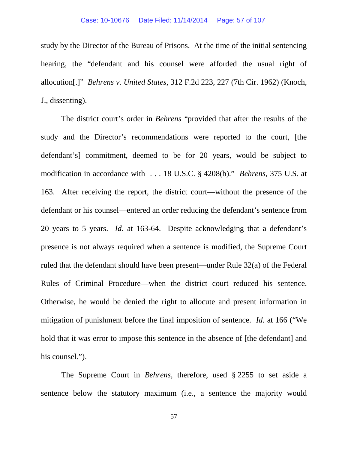study by the Director of the Bureau of Prisons. At the time of the initial sentencing hearing, the "defendant and his counsel were afforded the usual right of allocution[.]" *Behrens v. United States*, 312 F.2d 223, 227 (7th Cir. 1962) (Knoch, J., dissenting).

The district court's order in *Behrens* "provided that after the results of the study and the Director's recommendations were reported to the court, [the defendant's] commitment, deemed to be for 20 years, would be subject to modification in accordance with . . . 18 U.S.C. § 4208(b)." *Behrens*, 375 U.S. at 163. After receiving the report, the district court—without the presence of the defendant or his counsel—entered an order reducing the defendant's sentence from 20 years to 5 years. *Id.* at 163-64. Despite acknowledging that a defendant's presence is not always required when a sentence is modified, the Supreme Court ruled that the defendant should have been present—under Rule 32(a) of the Federal Rules of Criminal Procedure—when the district court reduced his sentence. Otherwise, he would be denied the right to allocute and present information in mitigation of punishment before the final imposition of sentence. *Id.* at 166 ("We hold that it was error to impose this sentence in the absence of [the defendant] and his counsel.").

The Supreme Court in *Behrens*, therefore, used § 2255 to set aside a sentence below the statutory maximum (i.e., a sentence the majority would

57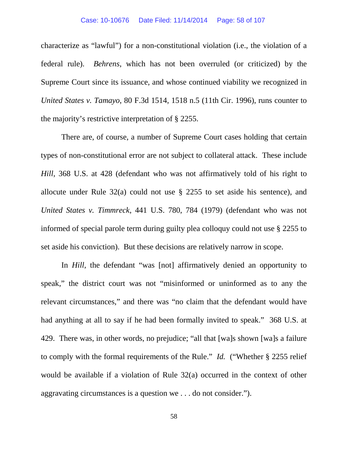characterize as "lawful") for a non-constitutional violation (i.e., the violation of a federal rule). *Behrens*, which has not been overruled (or criticized) by the Supreme Court since its issuance, and whose continued viability we recognized in *United States v. Tamayo*, 80 F.3d 1514, 1518 n.5 (11th Cir. 1996), runs counter to the majority's restrictive interpretation of § 2255.

There are, of course, a number of Supreme Court cases holding that certain types of non-constitutional error are not subject to collateral attack. These include *Hill*, 368 U.S. at 428 (defendant who was not affirmatively told of his right to allocute under Rule 32(a) could not use § 2255 to set aside his sentence), and *United States v. Timmreck*, 441 U.S. 780, 784 (1979) (defendant who was not informed of special parole term during guilty plea colloquy could not use § 2255 to set aside his conviction). But these decisions are relatively narrow in scope.

In *Hill*, the defendant "was [not] affirmatively denied an opportunity to speak," the district court was not "misinformed or uninformed as to any the relevant circumstances," and there was "no claim that the defendant would have had anything at all to say if he had been formally invited to speak." 368 U.S. at 429. There was, in other words, no prejudice; "all that [wa]s shown [wa]s a failure to comply with the formal requirements of the Rule." *Id.* ("Whether § 2255 relief would be available if a violation of Rule 32(a) occurred in the context of other aggravating circumstances is a question we . . . do not consider.").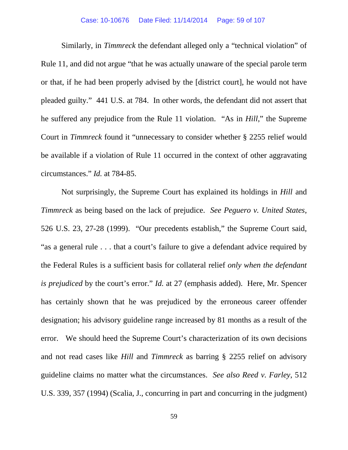Similarly, in *Timmreck* the defendant alleged only a "technical violation" of Rule 11, and did not argue "that he was actually unaware of the special parole term or that, if he had been properly advised by the [district court], he would not have pleaded guilty." 441 U.S. at 784. In other words, the defendant did not assert that he suffered any prejudice from the Rule 11 violation. "As in *Hill*," the Supreme Court in *Timmreck* found it "unnecessary to consider whether § 2255 relief would be available if a violation of Rule 11 occurred in the context of other aggravating circumstances." *Id.* at 784-85.

Not surprisingly, the Supreme Court has explained its holdings in *Hill* and *Timmreck* as being based on the lack of prejudice. *See Peguero v. United States*, 526 U.S. 23, 27-28 (1999). "Our precedents establish," the Supreme Court said, "as a general rule . . . that a court's failure to give a defendant advice required by the Federal Rules is a sufficient basis for collateral relief *only when the defendant is prejudiced* by the court's error." *Id.* at 27 (emphasis added). Here, Mr. Spencer has certainly shown that he was prejudiced by the erroneous career offender designation; his advisory guideline range increased by 81 months as a result of the error. We should heed the Supreme Court's characterization of its own decisions and not read cases like *Hill* and *Timmreck* as barring § 2255 relief on advisory guideline claims no matter what the circumstances. *See also Reed v. Farley*, 512 U.S. 339, 357 (1994) (Scalia, J., concurring in part and concurring in the judgment)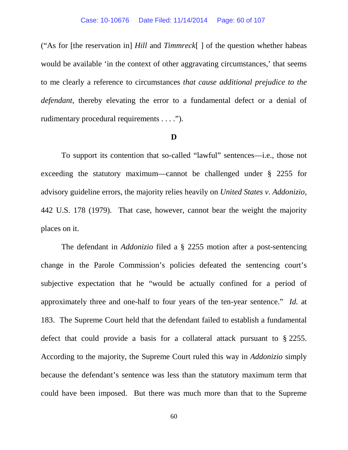("As for [the reservation in] *Hill* and *Timmreck*[ ] of the question whether habeas would be available 'in the context of other aggravating circumstances,' that seems to me clearly a reference to circumstances *that cause additional prejudice to the defendant*, thereby elevating the error to a fundamental defect or a denial of rudimentary procedural requirements . . . .").

### **D**

To support its contention that so-called "lawful" sentences—i.e., those not exceeding the statutory maximum—cannot be challenged under § 2255 for advisory guideline errors, the majority relies heavily on *United States v. Addonizio*, 442 U.S. 178 (1979). That case, however, cannot bear the weight the majority places on it.

The defendant in *Addonizio* filed a § 2255 motion after a post-sentencing change in the Parole Commission's policies defeated the sentencing court's subjective expectation that he "would be actually confined for a period of approximately three and one-half to four years of the ten-year sentence." *Id.* at 183. The Supreme Court held that the defendant failed to establish a fundamental defect that could provide a basis for a collateral attack pursuant to § 2255. According to the majority, the Supreme Court ruled this way in *Addonizio* simply because the defendant's sentence was less than the statutory maximum term that could have been imposed. But there was much more than that to the Supreme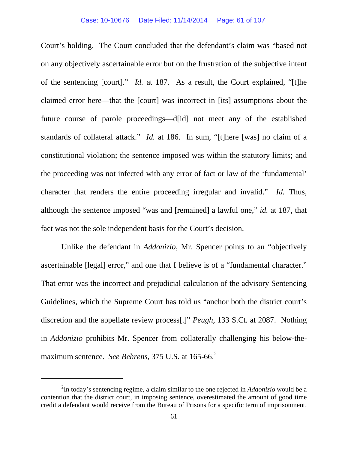Court's holding. The Court concluded that the defendant's claim was "based not on any objectively ascertainable error but on the frustration of the subjective intent of the sentencing [court]." *Id.* at 187. As a result, the Court explained, "[t]he claimed error here—that the [court] was incorrect in [its] assumptions about the future course of parole proceedings—d[id] not meet any of the established standards of collateral attack." *Id.* at 186. In sum, "[t]here [was] no claim of a constitutional violation; the sentence imposed was within the statutory limits; and the proceeding was not infected with any error of fact or law of the 'fundamental' character that renders the entire proceeding irregular and invalid." *Id.* Thus, although the sentence imposed "was and [remained] a lawful one," *id.* at 187, that fact was not the sole independent basis for the Court's decision.

Unlike the defendant in *Addonizio*, Mr. Spencer points to an "objectively ascertainable [legal] error," and one that I believe is of a "fundamental character." That error was the incorrect and prejudicial calculation of the advisory Sentencing Guidelines, which the Supreme Court has told us "anchor both the district court's discretion and the appellate review process[.]" *Peugh*, 133 S.Ct. at 2087. Nothing in *Addonizio* prohibits Mr. Spencer from collaterally challenging his below-themaximum sentence. *See Behrens*, 375 U.S. at 165-66.<sup>[2](#page-60-0)</sup>

<span id="page-60-0"></span><sup>2</sup> In today's sentencing regime, a claim similar to the one rejected in *Addonizio* would be a contention that the district court, in imposing sentence, overestimated the amount of good time credit a defendant would receive from the Bureau of Prisons for a specific term of imprisonment.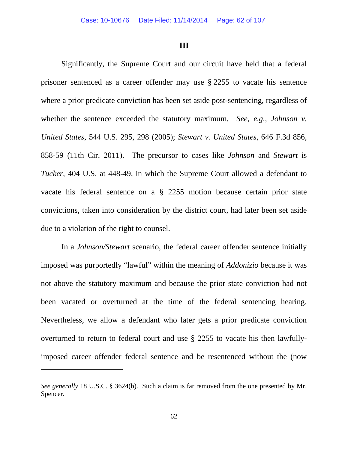### **III**

Significantly, the Supreme Court and our circuit have held that a federal prisoner sentenced as a career offender may use § 2255 to vacate his sentence where a prior predicate conviction has been set aside post-sentencing, regardless of whether the sentence exceeded the statutory maximum. *See, e.g.*, *Johnson v. United States*, 544 U.S. 295, 298 (2005); *Stewart v. United States*, 646 F.3d 856, 858-59 (11th Cir. 2011). The precursor to cases like *Johnson* and *Stewart* is *Tucker*, 404 U.S. at 448-49, in which the Supreme Court allowed a defendant to vacate his federal sentence on a § 2255 motion because certain prior state convictions, taken into consideration by the district court, had later been set aside due to a violation of the right to counsel.

In a *Johnson/Stewart* scenario, the federal career offender sentence initially imposed was purportedly "lawful" within the meaning of *Addonizio* because it was not above the statutory maximum and because the prior state conviction had not been vacated or overturned at the time of the federal sentencing hearing. Nevertheless, we allow a defendant who later gets a prior predicate conviction overturned to return to federal court and use § 2255 to vacate his then lawfullyimposed career offender federal sentence and be resentenced without the (now

*See generally* 18 U.S.C. § 3624(b). Such a claim is far removed from the one presented by Mr. Spencer.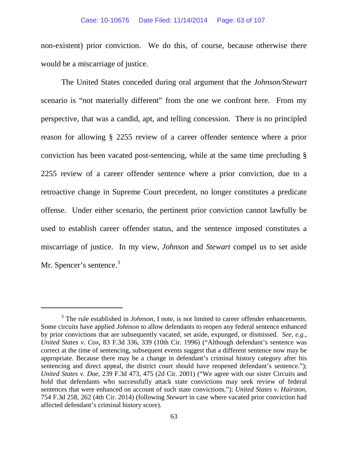#### Case: 10-10676 Date Filed: 11/14/2014 Page: 63 of 107

non-existent) prior conviction. We do this, of course, because otherwise there would be a miscarriage of justice.

The United States conceded during oral argument that the *Johnson/Stewart*  scenario is "not materially different" from the one we confront here. From my perspective, that was a candid, apt, and telling concession. There is no principled reason for allowing § 2255 review of a career offender sentence where a prior conviction has been vacated post-sentencing, while at the same time precluding § 2255 review of a career offender sentence where a prior conviction, due to a retroactive change in Supreme Court precedent, no longer constitutes a predicate offense. Under either scenario, the pertinent prior conviction cannot lawfully be used to establish career offender status, and the sentence imposed constitutes a miscarriage of justice. In my view, *Johnson* and *Stewart* compel us to set aside Mr. Spencer's sentence.<sup>[3](#page-62-0)</sup>

<span id="page-62-0"></span><sup>&</sup>lt;sup>3</sup> The rule established in *Johnson*, I note, is not limited to career offender enhancements. Some circuits have applied *Johnson* to allow defendants to reopen any federal sentence enhanced by prior convictions that are subsequently vacated, set aside, expunged, or dismissed. *See, e.g.*, *United States v. Cox*, 83 F.3d 336, 339 (10th Cir. 1996) ("Although defendant's sentence was correct at the time of sentencing, subsequent events suggest that a different sentence now may be appropriate. Because there may be a change in defendant's criminal history category after his sentencing and direct appeal, the district court should have reopened defendant's sentence."); *United States v. Doe*, 239 F.3d 473, 475 (2d Cir. 2001) ("We agree with our sister Circuits and hold that defendants who successfully attack state convictions may seek review of federal sentences that were enhanced on account of such state convictions."); *United States v. Hairston*, 754 F.3d 258, 262 (4th Cir. 2014) (following *Stewart* in case where vacated prior conviction had affected defendant's criminal history score).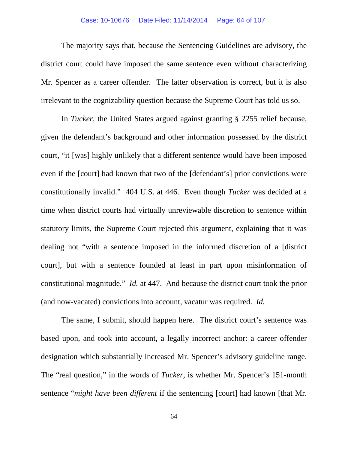### Case: 10-10676 Date Filed: 11/14/2014 Page: 64 of 107

The majority says that, because the Sentencing Guidelines are advisory, the district court could have imposed the same sentence even without characterizing Mr. Spencer as a career offender. The latter observation is correct, but it is also irrelevant to the cognizability question because the Supreme Court has told us so.

In *Tucker*, the United States argued against granting § 2255 relief because, given the defendant's background and other information possessed by the district court, "it [was] highly unlikely that a different sentence would have been imposed even if the [court] had known that two of the [defendant's] prior convictions were constitutionally invalid." 404 U.S. at 446. Even though *Tucker* was decided at a time when district courts had virtually unreviewable discretion to sentence within statutory limits, the Supreme Court rejected this argument, explaining that it was dealing not "with a sentence imposed in the informed discretion of a [district court], but with a sentence founded at least in part upon misinformation of constitutional magnitude." *Id.* at 447. And because the district court took the prior (and now-vacated) convictions into account, vacatur was required. *Id.*

The same, I submit, should happen here. The district court's sentence was based upon, and took into account, a legally incorrect anchor: a career offender designation which substantially increased Mr. Spencer's advisory guideline range. The "real question," in the words of *Tucker*, is whether Mr. Spencer's 151-month sentence "*might have been different* if the sentencing [court] had known [that Mr.

64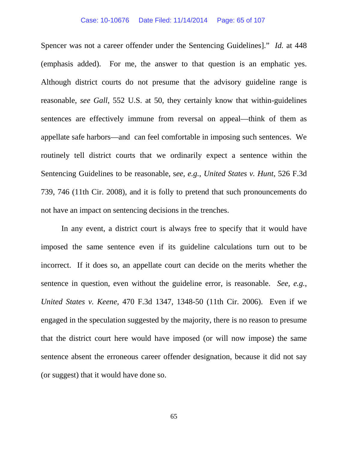#### Case: 10-10676 Date Filed: 11/14/2014 Page: 65 of 107

Spencer was not a career offender under the Sentencing Guidelines]." *Id.* at 448 (emphasis added). For me, the answer to that question is an emphatic yes. Although district courts do not presume that the advisory guideline range is reasonable, *see Gall*, 552 U.S. at 50, they certainly know that within-guidelines sentences are effectively immune from reversal on appeal—think of them as appellate safe harbors—and can feel comfortable in imposing such sentences. We routinely tell district courts that we ordinarily expect a sentence within the Sentencing Guidelines to be reasonable, s*ee, e.g.*, *United States v. Hunt*, 526 F.3d 739, 746 (11th Cir. 2008), and it is folly to pretend that such pronouncements do not have an impact on sentencing decisions in the trenches.

In any event, a district court is always free to specify that it would have imposed the same sentence even if its guideline calculations turn out to be incorrect. If it does so, an appellate court can decide on the merits whether the sentence in question, even without the guideline error, is reasonable. *See, e.g.*, *United States v. Keene*, 470 F.3d 1347, 1348-50 (11th Cir. 2006). Even if we engaged in the speculation suggested by the majority, there is no reason to presume that the district court here would have imposed (or will now impose) the same sentence absent the erroneous career offender designation, because it did not say (or suggest) that it would have done so.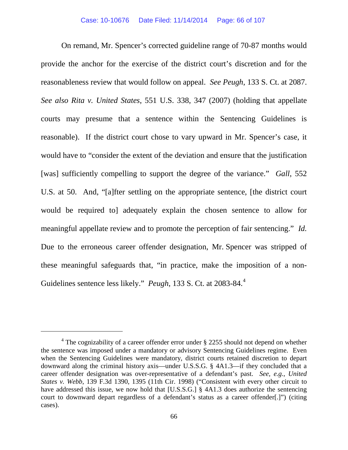On remand, Mr. Spencer's corrected guideline range of 70-87 months would provide the anchor for the exercise of the district court's discretion and for the reasonableness review that would follow on appeal. *See Peugh*, 133 S. Ct. at 2087. *See also Rita v. United States*, 551 U.S. 338, 347 (2007) (holding that appellate courts may presume that a sentence within the Sentencing Guidelines is reasonable). If the district court chose to vary upward in Mr. Spencer's case, it would have to "consider the extent of the deviation and ensure that the justification [was] sufficiently compelling to support the degree of the variance." *Gall*, 552 U.S. at 50. And, "[a]fter settling on the appropriate sentence, [the district court would be required to] adequately explain the chosen sentence to allow for meaningful appellate review and to promote the perception of fair sentencing." *Id.* Due to the erroneous career offender designation, Mr. Spencer was stripped of these meaningful safeguards that, "in practice, make the imposition of a non-Guidelines sentence less likely." *Peugh*, 133 S. Ct. at 2083-8[4](#page-65-0).<sup>4</sup>

<span id="page-65-0"></span> $4$  The cognizability of a career offender error under § 2255 should not depend on whether the sentence was imposed under a mandatory or advisory Sentencing Guidelines regime. Even when the Sentencing Guidelines were mandatory, district courts retained discretion to depart downward along the criminal history axis—under U.S.S.G. § 4A1.3—if they concluded that a career offender designation was over-representative of a defendant's past. *See, e.g.*, *United States v. Webb*, 139 F.3d 1390, 1395 (11th Cir. 1998) ("Consistent with every other circuit to have addressed this issue, we now hold that [U.S.S.G.] § 4A1.3 does authorize the sentencing court to downward depart regardless of a defendant's status as a career offender[.]") (citing cases).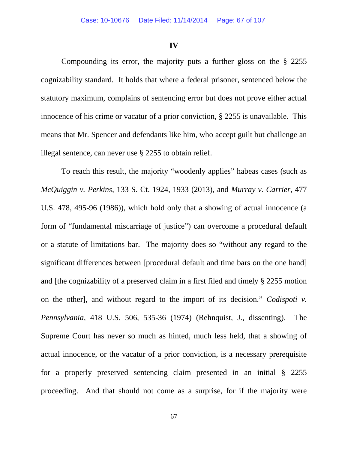### **IV**

Compounding its error, the majority puts a further gloss on the § 2255 cognizability standard. It holds that where a federal prisoner, sentenced below the statutory maximum, complains of sentencing error but does not prove either actual innocence of his crime or vacatur of a prior conviction, § 2255 is unavailable. This means that Mr. Spencer and defendants like him, who accept guilt but challenge an illegal sentence, can never use § 2255 to obtain relief.

To reach this result, the majority "woodenly applies" habeas cases (such as *McQuiggin v. Perkins*, 133 S. Ct. 1924, 1933 (2013), and *Murray v. Carrier*, 477 U.S. 478, 495-96 (1986)), which hold only that a showing of actual innocence (a form of "fundamental miscarriage of justice") can overcome a procedural default or a statute of limitations bar. The majority does so "without any regard to the significant differences between [procedural default and time bars on the one hand] and [the cognizability of a preserved claim in a first filed and timely § 2255 motion on the other], and without regard to the import of its decision." *Codispoti v. Pennsylvania*, 418 U.S. 506, 535-36 (1974) (Rehnquist, J., dissenting). The Supreme Court has never so much as hinted, much less held, that a showing of actual innocence, or the vacatur of a prior conviction, is a necessary prerequisite for a properly preserved sentencing claim presented in an initial § 2255 proceeding. And that should not come as a surprise, for if the majority were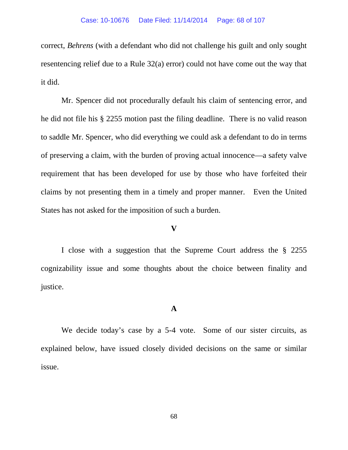correct, *Behrens* (with a defendant who did not challenge his guilt and only sought resentencing relief due to a Rule 32(a) error) could not have come out the way that it did.

Mr. Spencer did not procedurally default his claim of sentencing error, and he did not file his § 2255 motion past the filing deadline. There is no valid reason to saddle Mr. Spencer, who did everything we could ask a defendant to do in terms of preserving a claim, with the burden of proving actual innocence—a safety valve requirement that has been developed for use by those who have forfeited their claims by not presenting them in a timely and proper manner. Even the United States has not asked for the imposition of such a burden.

# **V**

I close with a suggestion that the Supreme Court address the § 2255 cognizability issue and some thoughts about the choice between finality and justice.

## **A**

We decide today's case by a 5-4 vote. Some of our sister circuits, as explained below, have issued closely divided decisions on the same or similar issue.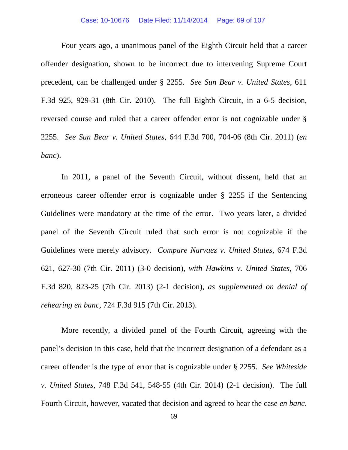Four years ago, a unanimous panel of the Eighth Circuit held that a career offender designation, shown to be incorrect due to intervening Supreme Court precedent, can be challenged under § 2255. *See Sun Bear v. United States*, 611 F.3d 925, 929-31 (8th Cir. 2010). The full Eighth Circuit, in a 6-5 decision, reversed course and ruled that a career offender error is not cognizable under § 2255. *See Sun Bear v. United States*, 644 F.3d 700, 704-06 (8th Cir. 2011) (*en banc*).

In 2011, a panel of the Seventh Circuit, without dissent, held that an erroneous career offender error is cognizable under § 2255 if the Sentencing Guidelines were mandatory at the time of the error. Two years later, a divided panel of the Seventh Circuit ruled that such error is not cognizable if the Guidelines were merely advisory. *Compare Narvaez v. United States*, 674 F.3d 621, 627-30 (7th Cir. 2011) (3-0 decision), *with Hawkins v. United States*, 706 F.3d 820, 823-25 (7th Cir. 2013) (2-1 decision), *as supplemented on denial of rehearing en banc,* 724 F.3d 915 (7th Cir. 2013).

More recently, a divided panel of the Fourth Circuit, agreeing with the panel's decision in this case, held that the incorrect designation of a defendant as a career offender is the type of error that is cognizable under § 2255. *See Whiteside v. United States*, 748 F.3d 541, 548-55 (4th Cir. 2014) (2-1 decision). The full Fourth Circuit, however, vacated that decision and agreed to hear the case *en banc*.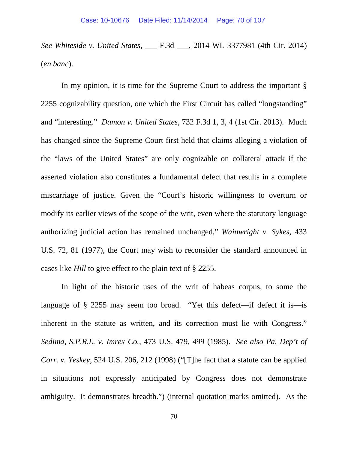*See Whiteside v. United States*, \_\_\_ F.3d \_\_\_, 2014 WL 3377981 (4th Cir. 2014) (*en banc*).

In my opinion, it is time for the Supreme Court to address the important § 2255 cognizability question, one which the First Circuit has called "longstanding" and "interesting." *Damon v. United States*, 732 F.3d 1, 3, 4 (1st Cir. 2013). Much has changed since the Supreme Court first held that claims alleging a violation of the "laws of the United States" are only cognizable on collateral attack if the asserted violation also constitutes a fundamental defect that results in a complete miscarriage of justice. Given the "Court's historic willingness to overturn or modify its earlier views of the scope of the writ, even where the statutory language authorizing judicial action has remained unchanged," *Wainwright v. Sykes*, 433 U.S. 72, 81 (1977), the Court may wish to reconsider the standard announced in cases like *Hill* to give effect to the plain text of § 2255.

In light of the historic uses of the writ of habeas corpus, to some the language of § 2255 may seem too broad. "Yet this defect—if defect it is—is inherent in the statute as written, and its correction must lie with Congress." *Sedima, S.P.R.L. v. Imrex Co.*, 473 U.S. 479, 499 (1985). *See also Pa. Dep't of Corr. v. Yeskey*, 524 U.S. 206, 212 (1998) ("[T]he fact that a statute can be applied in situations not expressly anticipated by Congress does not demonstrate ambiguity. It demonstrates breadth.") (internal quotation marks omitted). As the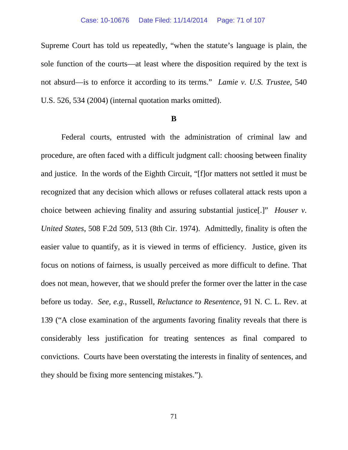Supreme Court has told us repeatedly, "when the statute's language is plain, the sole function of the courts—at least where the disposition required by the text is not absurd—is to enforce it according to its terms." *Lamie v. U.S. Trustee*, 540 U.S. 526, 534 (2004) (internal quotation marks omitted).

### **B**

Federal courts, entrusted with the administration of criminal law and procedure, are often faced with a difficult judgment call: choosing between finality and justice. In the words of the Eighth Circuit, "[f]or matters not settled it must be recognized that any decision which allows or refuses collateral attack rests upon a choice between achieving finality and assuring substantial justice[.]" *Houser v. United States*, 508 F.2d 509, 513 (8th Cir. 1974). Admittedly, finality is often the easier value to quantify, as it is viewed in terms of efficiency. Justice, given its focus on notions of fairness, is usually perceived as more difficult to define. That does not mean, however, that we should prefer the former over the latter in the case before us today. *See, e.g.*, Russell, *Reluctance to Resentence*, 91 N. C. L. Rev. at 139 ("A close examination of the arguments favoring finality reveals that there is considerably less justification for treating sentences as final compared to convictions. Courts have been overstating the interests in finality of sentences, and they should be fixing more sentencing mistakes.").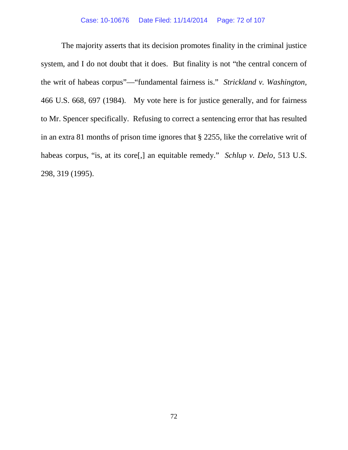The majority asserts that its decision promotes finality in the criminal justice system, and I do not doubt that it does. But finality is not "the central concern of the writ of habeas corpus"—"fundamental fairness is." *Strickland v. Washington,*  466 U.S. 668, 697 (1984).My vote here is for justice generally, and for fairness to Mr. Spencer specifically. Refusing to correct a sentencing error that has resulted in an extra 81 months of prison time ignores that § 2255, like the correlative writ of habeas corpus, "is, at its core[,] an equitable remedy." *Schlup v. Delo*, 513 U.S. 298, 319 (1995).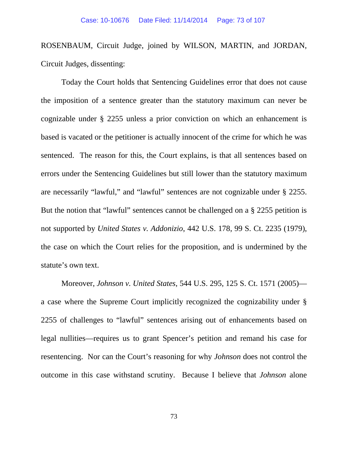ROSENBAUM, Circuit Judge, joined by WILSON, MARTIN, and JORDAN, Circuit Judges, dissenting:

Today the Court holds that Sentencing Guidelines error that does not cause the imposition of a sentence greater than the statutory maximum can never be cognizable under § 2255 unless a prior conviction on which an enhancement is based is vacated or the petitioner is actually innocent of the crime for which he was sentenced. The reason for this, the Court explains, is that all sentences based on errors under the Sentencing Guidelines but still lower than the statutory maximum are necessarily "lawful," and "lawful" sentences are not cognizable under § 2255. But the notion that "lawful" sentences cannot be challenged on a § 2255 petition is not supported by *United States v. Addonizio*, 442 U.S. 178, 99 S. Ct. 2235 (1979), the case on which the Court relies for the proposition, and is undermined by the statute's own text.

Moreover, *Johnson v. United States*, 544 U.S. 295, 125 S. Ct. 1571 (2005) a case where the Supreme Court implicitly recognized the cognizability under § 2255 of challenges to "lawful" sentences arising out of enhancements based on legal nullities—requires us to grant Spencer's petition and remand his case for resentencing. Nor can the Court's reasoning for why *Johnson* does not control the outcome in this case withstand scrutiny. Because I believe that *Johnson* alone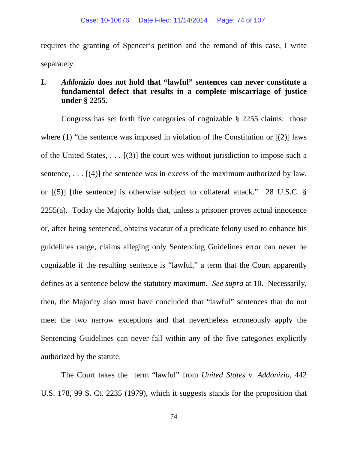requires the granting of Spencer's petition and the remand of this case, I write separately.

# **I.** *Addonizio* **does not hold that "lawful" sentences can never constitute a fundamental defect that results in a complete miscarriage of justice under § 2255.**

Congress has set forth five categories of cognizable § 2255 claims: those where (1) "the sentence was imposed in violation of the Constitution or  $[(2)]$  laws of the United States, . . . [(3)] the court was without jurisdiction to impose such a sentence, ...  $[(4)]$  the sentence was in excess of the maximum authorized by law, or [(5)] [the sentence] is otherwise subject to collateral attack." 28 U.S.C. § 2255(a). Today the Majority holds that, unless a prisoner proves actual innocence or, after being sentenced, obtains vacatur of a predicate felony used to enhance his guidelines range, claims alleging only Sentencing Guidelines error can never be cognizable if the resulting sentence is "lawful," a term that the Court apparently defines as a sentence below the statutory maximum. *See supra* at 10. Necessarily, then, the Majority also must have concluded that "lawful" sentences that do not meet the two narrow exceptions and that nevertheless erroneously apply the Sentencing Guidelines can never fall within any of the five categories explicitly authorized by the statute.

The Court takes the term "lawful" from *United States v. Addonizio*, 442 U.S. 178, 99 S. Ct. 2235 (1979), which it suggests stands for the proposition that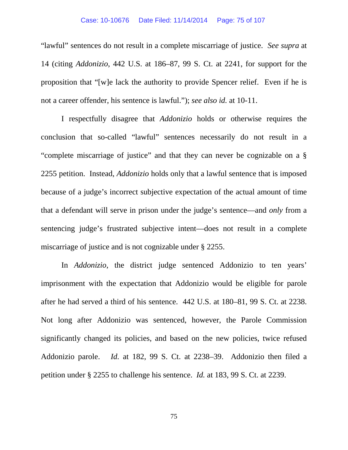"lawful" sentences do not result in a complete miscarriage of justice. *See supra* at 14 (citing *Addonizio*, 442 U.S. at 186–87, 99 S. Ct. at 2241, for support for the proposition that "[w]e lack the authority to provide Spencer relief. Even if he is not a career offender, his sentence is lawful."); *see also id.* at 10-11.

I respectfully disagree that *Addonizio* holds or otherwise requires the conclusion that so-called "lawful" sentences necessarily do not result in a "complete miscarriage of justice" and that they can never be cognizable on a § 2255 petition. Instead, *Addonizio* holds only that a lawful sentence that is imposed because of a judge's incorrect subjective expectation of the actual amount of time that a defendant will serve in prison under the judge's sentence—and *only* from a sentencing judge's frustrated subjective intent—does not result in a complete miscarriage of justice and is not cognizable under § 2255.

In *Addonizio*, the district judge sentenced Addonizio to ten years' imprisonment with the expectation that Addonizio would be eligible for parole after he had served a third of his sentence. 442 U.S. at 180–81, 99 S. Ct. at 2238. Not long after Addonizio was sentenced, however, the Parole Commission significantly changed its policies, and based on the new policies, twice refused Addonizio parole. *Id.* at 182, 99 S. Ct. at 2238–39. Addonizio then filed a petition under § 2255 to challenge his sentence. *Id.* at 183, 99 S. Ct. at 2239.

75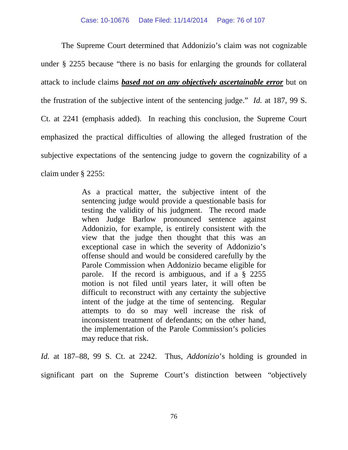The Supreme Court determined that Addonizio's claim was not cognizable under § 2255 because "there is no basis for enlarging the grounds for collateral attack to include claims *based not on any objectively ascertainable error* but on the frustration of the subjective intent of the sentencing judge." *Id.* at 187, 99 S. Ct. at 2241 (emphasis added). In reaching this conclusion, the Supreme Court emphasized the practical difficulties of allowing the alleged frustration of the subjective expectations of the sentencing judge to govern the cognizability of a claim under § 2255:

> As a practical matter, the subjective intent of the sentencing judge would provide a questionable basis for testing the validity of his judgment. The record made when Judge Barlow pronounced sentence against Addonizio, for example, is entirely consistent with the view that the judge then thought that this was an exceptional case in which the severity of Addonizio's offense should and would be considered carefully by the Parole Commission when Addonizio became eligible for parole. If the record is ambiguous, and if a § 2255 motion is not filed until years later, it will often be difficult to reconstruct with any certainty the subjective intent of the judge at the time of sentencing. Regular attempts to do so may well increase the risk of inconsistent treatment of defendants; on the other hand, the implementation of the Parole Commission's policies may reduce that risk.

*Id.* at 187–88, 99 S. Ct. at 2242. Thus, *Addonizio*'s holding is grounded in significant part on the Supreme Court's distinction between "objectively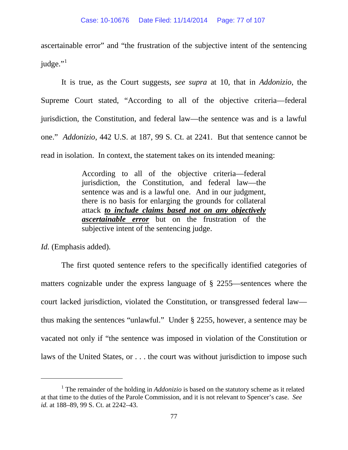ascertainable error" and "the frustration of the subjective intent of the sentencing judge."<sup>[1](#page-76-0)</sup>

It is true, as the Court suggests, *see supra* at 10, that in *Addonizio*, the Supreme Court stated, "According to all of the objective criteria—federal jurisdiction, the Constitution, and federal law—the sentence was and is a lawful one." *Addonizio*, 442 U.S. at 187, 99 S. Ct. at 2241. But that sentence cannot be read in isolation. In context, the statement takes on its intended meaning:

> According to all of the objective criteria—federal jurisdiction, the Constitution, and federal law—the sentence was and is a lawful one. And in our judgment, there is no basis for enlarging the grounds for collateral attack *to include claims based not on any objectively ascertainable error* but on the frustration of the subjective intent of the sentencing judge.

*Id.* (Emphasis added).

 $\overline{a}$ 

The first quoted sentence refers to the specifically identified categories of matters cognizable under the express language of § 2255—sentences where the court lacked jurisdiction, violated the Constitution, or transgressed federal law thus making the sentences "unlawful." Under § 2255, however, a sentence may be vacated not only if "the sentence was imposed in violation of the Constitution or laws of the United States, or . . . the court was without jurisdiction to impose such

<span id="page-76-0"></span><sup>1</sup> The remainder of the holding in *Addonizio* is based on the statutory scheme as it related at that time to the duties of the Parole Commission, and it is not relevant to Spencer's case. *See id.* at 188–89, 99 S. Ct. at 2242–43.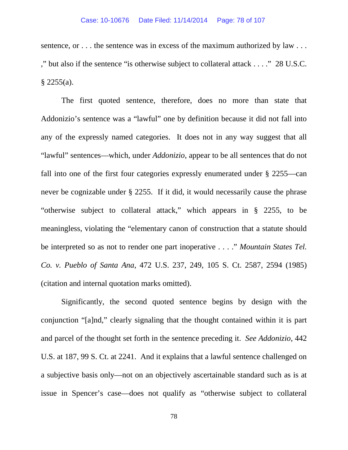sentence, or . . . the sentence was in excess of the maximum authorized by law . . . ," but also if the sentence "is otherwise subject to collateral attack . . . ." 28 U.S.C.  $$2255(a).$ 

The first quoted sentence, therefore, does no more than state that Addonizio's sentence was a "lawful" one by definition because it did not fall into any of the expressly named categories. It does not in any way suggest that all "lawful" sentences—which, under *Addonizio*, appear to be all sentences that do not fall into one of the first four categories expressly enumerated under § 2255—can never be cognizable under § 2255. If it did, it would necessarily cause the phrase "otherwise subject to collateral attack," which appears in § 2255, to be meaningless, violating the "elementary canon of construction that a statute should be interpreted so as not to render one part inoperative . . . ." *Mountain States Tel. Co. v. Pueblo of Santa Ana*, 472 U.S. 237, 249, 105 S. Ct. 2587, 2594 (1985) (citation and internal quotation marks omitted).

Significantly, the second quoted sentence begins by design with the conjunction "[a]nd," clearly signaling that the thought contained within it is part and parcel of the thought set forth in the sentence preceding it. *See Addonizio*, 442 U.S. at 187, 99 S. Ct. at 2241. And it explains that a lawful sentence challenged on a subjective basis only—not on an objectively ascertainable standard such as is at issue in Spencer's case—does not qualify as "otherwise subject to collateral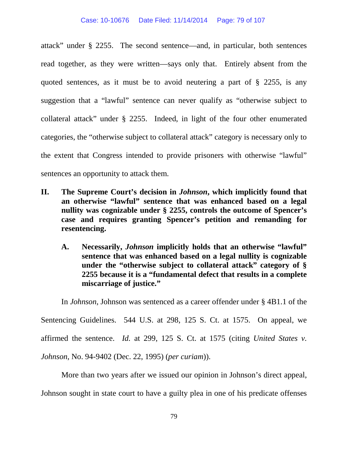attack" under § 2255. The second sentence—and, in particular, both sentences read together, as they were written—says only that. Entirely absent from the quoted sentences, as it must be to avoid neutering a part of § 2255, is any suggestion that a "lawful" sentence can never qualify as "otherwise subject to collateral attack" under § 2255. Indeed, in light of the four other enumerated categories, the "otherwise subject to collateral attack" category is necessary only to the extent that Congress intended to provide prisoners with otherwise "lawful" sentences an opportunity to attack them.

- **II. The Supreme Court's decision in** *Johnson***, which implicitly found that an otherwise "lawful" sentence that was enhanced based on a legal nullity was cognizable under § 2255, controls the outcome of Spencer's case and requires granting Spencer's petition and remanding for resentencing.**
	- **A. Necessarily,** *Johnson* **implicitly holds that an otherwise "lawful" sentence that was enhanced based on a legal nullity is cognizable under the "otherwise subject to collateral attack" category of § 2255 because it is a "fundamental defect that results in a complete miscarriage of justice."**

In *Johnson*, Johnson was sentenced as a career offender under § 4B1.1 of the Sentencing Guidelines. 544 U.S. at 298, 125 S. Ct. at 1575. On appeal, we affirmed the sentence. *Id.* at 299, 125 S. Ct. at 1575 (citing *United States v. Johnson*, No. 94-9402 (Dec. 22, 1995) (*per curiam*)).

More than two years after we issued our opinion in Johnson's direct appeal, Johnson sought in state court to have a guilty plea in one of his predicate offenses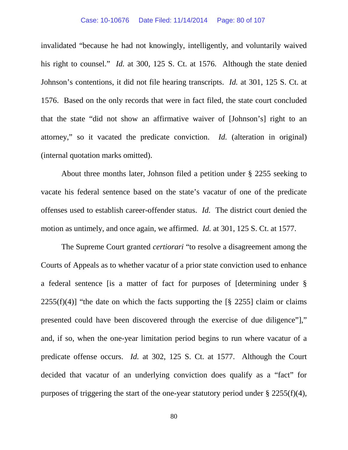invalidated "because he had not knowingly, intelligently, and voluntarily waived his right to counsel." *Id.* at 300, 125 S. Ct. at 1576. Although the state denied Johnson's contentions, it did not file hearing transcripts. *Id.* at 301, 125 S. Ct. at 1576. Based on the only records that were in fact filed, the state court concluded that the state "did not show an affirmative waiver of [Johnson's] right to an attorney," so it vacated the predicate conviction. *Id.* (alteration in original) (internal quotation marks omitted).

About three months later, Johnson filed a petition under § 2255 seeking to vacate his federal sentence based on the state's vacatur of one of the predicate offenses used to establish career-offender status. *Id.* The district court denied the motion as untimely, and once again, we affirmed. *Id.* at 301, 125 S. Ct. at 1577.

The Supreme Court granted *certiorari* "to resolve a disagreement among the Courts of Appeals as to whether vacatur of a prior state conviction used to enhance a federal sentence [is a matter of fact for purposes of [determining under §  $2255(f)(4)$ ] "the date on which the facts supporting the [§ 2255] claim or claims presented could have been discovered through the exercise of due diligence"]," and, if so, when the one-year limitation period begins to run where vacatur of a predicate offense occurs. *Id.* at 302, 125 S. Ct. at 1577. Although the Court decided that vacatur of an underlying conviction does qualify as a "fact" for purposes of triggering the start of the one-year statutory period under  $\S 2255(f)(4)$ ,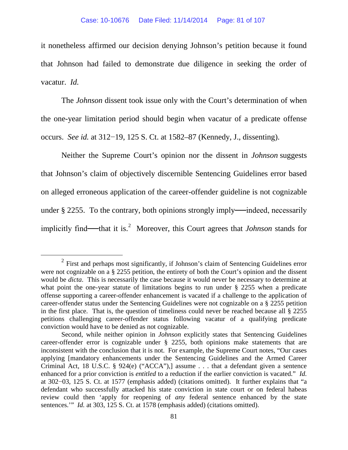it nonetheless affirmed our decision denying Johnson's petition because it found that Johnson had failed to demonstrate due diligence in seeking the order of vacatur. *Id.*

The *Johnson* dissent took issue only with the Court's determination of when the one-year limitation period should begin when vacatur of a predicate offense occurs. *See id.* at 312−19, 125 S. Ct. at 1582–87 (Kennedy, J., dissenting).

Neither the Supreme Court's opinion nor the dissent in *Johnson* suggests that Johnson's claim of objectively discernible Sentencing Guidelines error based on alleged erroneous application of the career-offender guideline is not cognizable under  $\S 2255$ . To the contrary, both opinions strongly imply—indeed, necessarily implicitly find—that it is.<sup>[2](#page-80-0)</sup> Moreover, this Court agrees that *Johnson* stands for

<span id="page-80-0"></span> $2$  First and perhaps most significantly, if Johnson's claim of Sentencing Guidelines error were not cognizable on a § 2255 petition, the entirety of both the Court's opinion and the dissent would be *dicta*. This is necessarily the case because it would never be necessary to determine at what point the one-year statute of limitations begins to run under § 2255 when a predicate offense supporting a career-offender enhancement is vacated if a challenge to the application of career-offender status under the Sentencing Guidelines were not cognizable on a § 2255 petition in the first place. That is, the question of timeliness could never be reached because all § 2255 petitions challenging career-offender status following vacatur of a qualifying predicate conviction would have to be denied as not cognizable.

Second, while neither opinion in *Johnson* explicitly states that Sentencing Guidelines career-offender error is cognizable under § 2255, both opinions make statements that are inconsistent with the conclusion that it is not. For example, the Supreme Court notes, "Our cases applying [mandatory enhancements under the Sentencing Guidelines and the Armed Career Criminal Act, 18 U.S.C. § 924(e) ("ACCA"),] assume . . . that a defendant given a sentence enhanced for a prior conviction is *entitled* to a reduction if the earlier conviction is vacated." *Id.* at 302−03, 125 S. Ct. at 1577 (emphasis added) (citations omitted). It further explains that "a defendant who successfully attacked his state conviction in state court or on federal habeas review could then 'apply for reopening of *any* federal sentence enhanced by the state sentences.'" *Id.* at 303, 125 S. Ct. at 1578 (emphasis added) (citations omitted).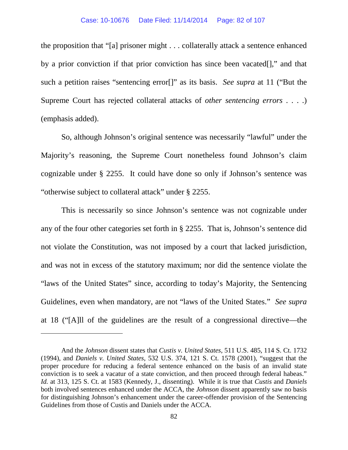the proposition that "[a] prisoner might . . . collaterally attack a sentence enhanced by a prior conviction if that prior conviction has since been vacated[]," and that such a petition raises "sentencing error[]" as its basis. *See supra* at 11 ("But the Supreme Court has rejected collateral attacks of *other sentencing errors* . . . .) (emphasis added).

So, although Johnson's original sentence was necessarily "lawful" under the Majority's reasoning, the Supreme Court nonetheless found Johnson's claim cognizable under § 2255. It could have done so only if Johnson's sentence was "otherwise subject to collateral attack" under § 2255.

This is necessarily so since Johnson's sentence was not cognizable under any of the four other categories set forth in § 2255. That is, Johnson's sentence did not violate the Constitution, was not imposed by a court that lacked jurisdiction, and was not in excess of the statutory maximum; nor did the sentence violate the "laws of the United States" since, according to today's Majority, the Sentencing Guidelines, even when mandatory, are not "laws of the United States." *See supra* at 18 ("[A]ll of the guidelines are the result of a congressional directive—the

And the *Johnson* dissent states that *Custis v. United States*, 511 U.S. 485, 114 S. Ct. 1732 (1994), and *Daniels v. United States*, 532 U.S. 374, 121 S. Ct. 1578 (2001), "suggest that the proper procedure for reducing a federal sentence enhanced on the basis of an invalid state conviction is to seek a vacatur of a state conviction, and then proceed through federal habeas." *Id.* at 313, 125 S. Ct. at 1583 (Kennedy, J., dissenting). While it is true that *Custis* and *Daniels* both involved sentences enhanced under the ACCA, the *Johnson* dissent apparently saw no basis for distinguishing Johnson's enhancement under the career-offender provision of the Sentencing Guidelines from those of Custis and Daniels under the ACCA.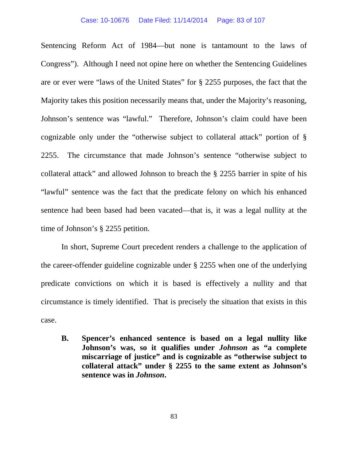Sentencing Reform Act of 1984—but none is tantamount to the laws of Congress"). Although I need not opine here on whether the Sentencing Guidelines are or ever were "laws of the United States" for § 2255 purposes, the fact that the Majority takes this position necessarily means that, under the Majority's reasoning, Johnson's sentence was "lawful." Therefore, Johnson's claim could have been cognizable only under the "otherwise subject to collateral attack" portion of § 2255. The circumstance that made Johnson's sentence "otherwise subject to collateral attack" and allowed Johnson to breach the § 2255 barrier in spite of his "lawful" sentence was the fact that the predicate felony on which his enhanced sentence had been based had been vacated—that is, it was a legal nullity at the time of Johnson's § 2255 petition.

In short, Supreme Court precedent renders a challenge to the application of the career-offender guideline cognizable under § 2255 when one of the underlying predicate convictions on which it is based is effectively a nullity and that circumstance is timely identified. That is precisely the situation that exists in this case.

**B. Spencer's enhanced sentence is based on a legal nullity like Johnson's was, so it qualifies under** *Johnson* **as "a complete miscarriage of justice" and is cognizable as "otherwise subject to collateral attack" under § 2255 to the same extent as Johnson's sentence was in** *Johnson***.**

83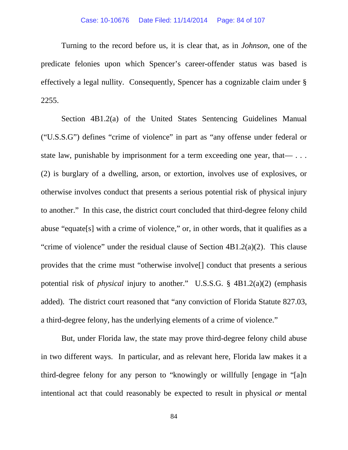Turning to the record before us, it is clear that, as in *Johnson*, one of the predicate felonies upon which Spencer's career-offender status was based is effectively a legal nullity. Consequently, Spencer has a cognizable claim under § 2255.

Section 4B1.2(a) of the United States Sentencing Guidelines Manual ("U.S.S.G") defines "crime of violence" in part as "any offense under federal or state law, punishable by imprisonment for a term exceeding one year, that— ... (2) is burglary of a dwelling, arson, or extortion, involves use of explosives, or otherwise involves conduct that presents a serious potential risk of physical injury to another." In this case, the district court concluded that third-degree felony child abuse "equate[s] with a crime of violence," or, in other words, that it qualifies as a "crime of violence" under the residual clause of Section 4B1.2(a)(2). This clause provides that the crime must "otherwise involve[] conduct that presents a serious potential risk of *physical* injury to another." U.S.S.G. § 4B1.2(a)(2) (emphasis added). The district court reasoned that "any conviction of Florida Statute 827.03, a third-degree felony, has the underlying elements of a crime of violence."

But, under Florida law, the state may prove third-degree felony child abuse in two different ways. In particular, and as relevant here, Florida law makes it a third-degree felony for any person to "knowingly or willfully [engage in "[a]n intentional act that could reasonably be expected to result in physical *or* mental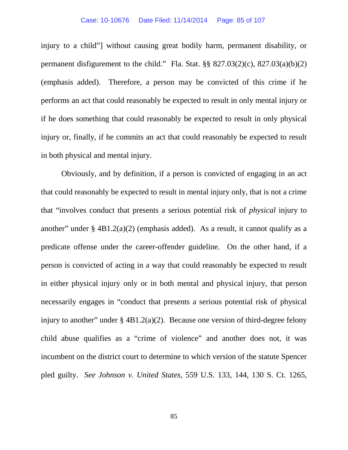injury to a child"] without causing great bodily harm, permanent disability, or permanent disfigurement to the child." Fla. Stat.  $\S$ § 827.03(2)(c), 827.03(a)(b)(2) (emphasis added). Therefore, a person may be convicted of this crime if he performs an act that could reasonably be expected to result in only mental injury or if he does something that could reasonably be expected to result in only physical injury or, finally, if he commits an act that could reasonably be expected to result in both physical and mental injury.

Obviously, and by definition, if a person is convicted of engaging in an act that could reasonably be expected to result in mental injury only, that is not a crime that "involves conduct that presents a serious potential risk of *physical* injury to another" under § 4B1.2(a)(2) (emphasis added). As a result, it cannot qualify as a predicate offense under the career-offender guideline. On the other hand, if a person is convicted of acting in a way that could reasonably be expected to result in either physical injury only or in both mental and physical injury, that person necessarily engages in "conduct that presents a serious potential risk of physical injury to another" under  $\S$  4B1.2(a)(2). Because one version of third-degree felony child abuse qualifies as a "crime of violence" and another does not, it was incumbent on the district court to determine to which version of the statute Spencer pled guilty. *See Johnson v. United States*, 559 U.S. 133, 144, 130 S. Ct. 1265,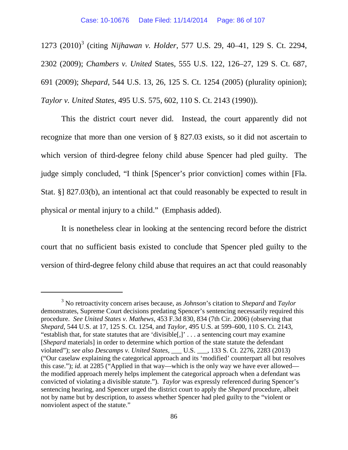127[3](#page-85-0) (2010)<sup>3</sup> (citing *Nijhawan v. Holder*, 577 U.S. 29, 40-41, 129 S. Ct. 2294, 2302 (2009); *Chambers v. United* States, 555 U.S. 122, 126–27, 129 S. Ct. 687, 691 (2009); *Shepard*, 544 U.S. 13, 26, 125 S. Ct. 1254 (2005) (plurality opinion); *Taylor v. United States*, 495 U.S. 575, 602, 110 S. Ct. 2143 (1990)).

This the district court never did. Instead, the court apparently did not recognize that more than one version of § 827.03 exists, so it did not ascertain to which version of third-degree felony child abuse Spencer had pled guilty. The judge simply concluded, "I think [Spencer's prior conviction] comes within [Fla. Stat. §] 827.03(b), an intentional act that could reasonably be expected to result in physical *or* mental injury to a child." (Emphasis added).

It is nonetheless clear in looking at the sentencing record before the district court that no sufficient basis existed to conclude that Spencer pled guilty to the version of third-degree felony child abuse that requires an act that could reasonably

<span id="page-85-0"></span><sup>3</sup> No retroactivity concern arises because, as *Johnson*'s citation to *Shepard* and *Taylor* demonstrates, Supreme Court decisions predating Spencer's sentencing necessarily required this procedure. *See United States v. Mathews*, 453 F.3d 830, 834 (7th Cir. 2006) (observing that *Shepard*, 544 U.S. at 17, 125 S. Ct. 1254, and *Taylor*, 495 U.S. at 599–600, 110 S. Ct. 2143, "establish that, for state statutes that are 'divisible[,]' . . . a sentencing court may examine [*Shepard* materials] in order to determine which portion of the state statute the defendant violated"); *see also Descamps v. United States*, \_\_\_ U.S. \_\_\_, 133 S. Ct. 2276, 2283 (2013) ("Our caselaw explaining the categorical approach and its 'modified' counterpart all but resolves this case."); *id.* at 2285 ("Applied in that way—which is the only way we have ever allowed the modified approach merely helps implement the categorical approach when a defendant was convicted of violating a divisible statute."). *Taylor* was expressly referenced during Spencer's sentencing hearing, and Spencer urged the district court to apply the *Shepard* procedure, albeit not by name but by description, to assess whether Spencer had pled guilty to the "violent or nonviolent aspect of the statute."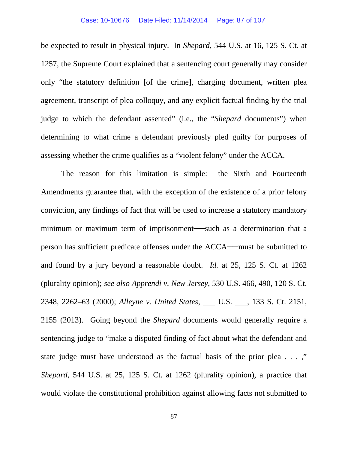be expected to result in physical injury. In *Shepard*, 544 U.S. at 16, 125 S. Ct. at 1257, the Supreme Court explained that a sentencing court generally may consider only "the statutory definition [of the crime], charging document, written plea agreement, transcript of plea colloquy, and any explicit factual finding by the trial judge to which the defendant assented" (i.e., the "*Shepard* documents") when determining to what crime a defendant previously pled guilty for purposes of assessing whether the crime qualifies as a "violent felony" under the ACCA.

The reason for this limitation is simple: the Sixth and Fourteenth Amendments guarantee that, with the exception of the existence of a prior felony conviction, any findings of fact that will be used to increase a statutory mandatory minimum or maximum term of imprisonment—such as a determination that a person has sufficient predicate offenses under the ACCA——must be submitted to and found by a jury beyond a reasonable doubt. *Id.* at 25, 125 S. Ct. at 1262 (plurality opinion); *see also Apprendi v. New Jersey*, 530 U.S. 466, 490, 120 S. Ct. 2348, 2262–63 (2000); *Alleyne v. United States*, \_\_\_ U.S. \_\_\_, 133 S. Ct. 2151, 2155 (2013). Going beyond the *Shepard* documents would generally require a sentencing judge to "make a disputed finding of fact about what the defendant and state judge must have understood as the factual basis of the prior plea . . . ," *Shepard*, 544 U.S. at 25, 125 S. Ct. at 1262 (plurality opinion), a practice that would violate the constitutional prohibition against allowing facts not submitted to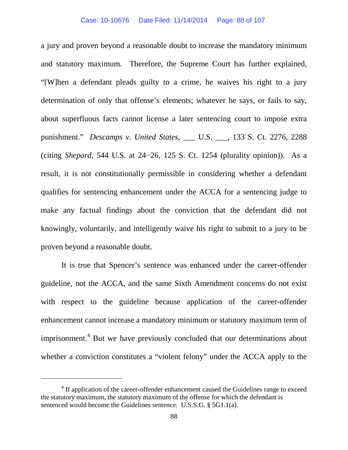a jury and proven beyond a reasonable doubt to increase the mandatory minimum and statutory maximum. Therefore, the Supreme Court has further explained, "[W]hen a defendant pleads guilty to a crime, he waives his right to a jury determination of only that offense's elements; whatever he says, or fails to say, about superfluous facts cannot license a later sentencing court to impose extra punishment." *Descamps v. United States*, \_\_\_ U.S. \_\_\_, 133 S. Ct. 2276, 2288 (citing *Shepard*, 544 U.S. at 24−26, 125 S. Ct. 1254 (plurality opinion)). As a result, it is not constitutionally permissible in considering whether a defendant qualifies for sentencing enhancement under the ACCA for a sentencing judge to make any factual findings about the conviction that the defendant did not knowingly, voluntarily, and intelligently waive his right to submit to a jury to be proven beyond a reasonable doubt.

It is true that Spencer's sentence was enhanced under the career-offender guideline, not the ACCA, and the same Sixth Amendment concerns do not exist with respect to the guideline because application of the career-offender enhancement cannot increase a mandatory minimum or statutory maximum term of imprisonment.<sup>[4](#page-87-0)</sup> But we have previously concluded that our determinations about whether a conviction constitutes a "violent felony" under the ACCA apply to the

<span id="page-87-0"></span><sup>&</sup>lt;sup>4</sup> If application of the career-offender enhancement caused the Guidelines range to exceed the statutory maximum, the statutory maximum of the offense for which the defendant is sentenced would become the Guidelines sentence. U.S.S.G. § 5G1.1(a).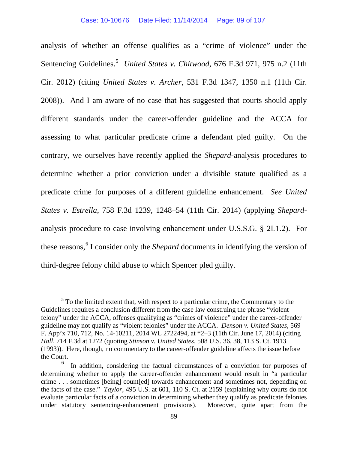analysis of whether an offense qualifies as a "crime of violence" under the Sentencing Guidelines.<sup>[5](#page-88-0)</sup> *United States v. Chitwood*, 676 F.3d 971, 975 n.2 (11th Cir. 2012) (citing *United States v. Archer*, 531 F.3d 1347, 1350 n.1 (11th Cir. 2008)). And I am aware of no case that has suggested that courts should apply different standards under the career-offender guideline and the ACCA for assessing to what particular predicate crime a defendant pled guilty. On the contrary, we ourselves have recently applied the *Shepard*-analysis procedures to determine whether a prior conviction under a divisible statute qualified as a predicate crime for purposes of a different guideline enhancement. *See United States v. Estrella*, 758 F.3d 1239, 1248–54 (11th Cir. 2014) (applying *Shepard*analysis procedure to case involving enhancement under U.S.S.G. § 2L1.2). For these reasons,<sup>[6](#page-88-1)</sup> I consider only the *Shepard* documents in identifying the version of third-degree felony child abuse to which Spencer pled guilty.

<span id="page-88-0"></span> $<sup>5</sup>$  To the limited extent that, with respect to a particular crime, the Commentary to the</sup> Guidelines requires a conclusion different from the case law construing the phrase "violent felony" under the ACCA, offenses qualifying as "crimes of violence" under the career-offender guideline may not qualify as "violent felonies" under the ACCA. *Denson v. United States*, 569 F. App'x 710, 712, No. 14-10211, 2014 WL 2722494, at \*2–3 (11th Cir. June 17, 2014) (citing *Hall*, 714 F.3d at 1272 (quoting *Stinson v. United States*, 508 U.S. 36, 38, 113 S. Ct. 1913 (1993)). Here, though, no commentary to the career-offender guideline affects the issue before the Court.

<span id="page-88-1"></span><sup>6</sup> In addition, considering the factual circumstances of a conviction for purposes of determining whether to apply the career-offender enhancement would result in "a particular crime . . . sometimes [being] count[ed] towards enhancement and sometimes not, depending on the facts of the case." *Taylor*, 495 U.S. at 601, 110 S. Ct. at 2159 (explaining why courts do not evaluate particular facts of a conviction in determining whether they qualify as predicate felonies under statutory sentencing-enhancement provisions). Moreover, quite apart from the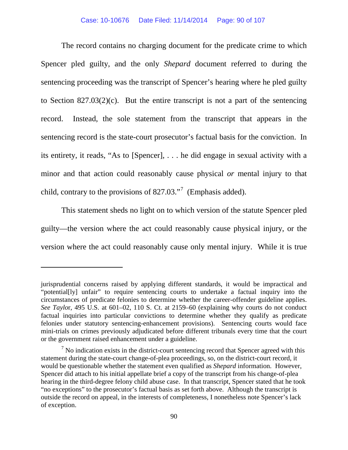The record contains no charging document for the predicate crime to which Spencer pled guilty, and the only *Shepard* document referred to during the sentencing proceeding was the transcript of Spencer's hearing where he pled guilty to Section  $827.03(2)(c)$ . But the entire transcript is not a part of the sentencing record. Instead, the sole statement from the transcript that appears in the sentencing record is the state-court prosecutor's factual basis for the conviction. In its entirety, it reads, "As to [Spencer], . . . he did engage in sexual activity with a minor and that action could reasonably cause physical *or* mental injury to that child, contrary to the provisions of  $827.03$  $827.03$  $827.03$ ."<sup>7</sup> (Emphasis added).

This statement sheds no light on to which version of the statute Spencer pled guilty—the version where the act could reasonably cause physical injury, or the version where the act could reasonably cause only mental injury. While it is true

jurisprudential concerns raised by applying different standards, it would be impractical and "potential[ly] unfair" to require sentencing courts to undertake a factual inquiry into the circumstances of predicate felonies to determine whether the career-offender guideline applies. *See Taylo*r, 495 U.S. at 601–02, 110 S. Ct. at 2159–60 (explaining why courts do not conduct factual inquiries into particular convictions to determine whether they qualify as predicate felonies under statutory sentencing-enhancement provisions). Sentencing courts would face mini-trials on crimes previously adjudicated before different tribunals every time that the court or the government raised enhancement under a guideline.

<span id="page-89-0"></span> $<sup>7</sup>$  No indication exists in the district-court sentencing record that Spencer agreed with this</sup> statement during the state-court change-of-plea proceedings, so, on the district-court record, it would be questionable whether the statement even qualified as *Shepard* information. However, Spencer did attach to his initial appellate brief a copy of the transcript from his change-of-plea hearing in the third-degree felony child abuse case. In that transcript, Spencer stated that he took "no exceptions" to the prosecutor's factual basis as set forth above. Although the transcript is outside the record on appeal, in the interests of completeness, I nonetheless note Spencer's lack of exception.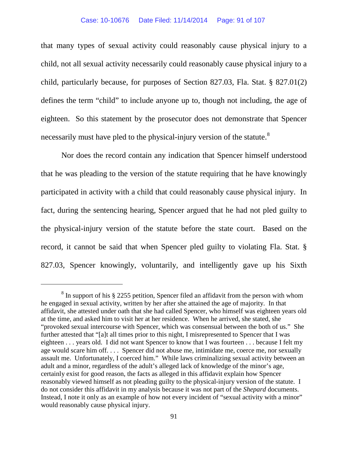that many types of sexual activity could reasonably cause physical injury to a child, not all sexual activity necessarily could reasonably cause physical injury to a child, particularly because, for purposes of Section 827.03, Fla. Stat. § 827.01(2) defines the term "child" to include anyone up to, though not including, the age of eighteen. So this statement by the prosecutor does not demonstrate that Spencer necessarily must have pled to the physical-injury version of the statute.<sup>[8](#page-90-0)</sup>

Nor does the record contain any indication that Spencer himself understood that he was pleading to the version of the statute requiring that he have knowingly participated in activity with a child that could reasonably cause physical injury. In fact, during the sentencing hearing, Spencer argued that he had not pled guilty to the physical-injury version of the statute before the state court. Based on the record, it cannot be said that when Spencer pled guilty to violating Fla. Stat. § 827.03, Spencer knowingly, voluntarily, and intelligently gave up his Sixth

<span id="page-90-0"></span> $8 \text{ In support of his } \S$  2255 petition, Spencer filed an affidavit from the person with whom he engaged in sexual activity, written by her after she attained the age of majority. In that affidavit, she attested under oath that she had called Spencer, who himself was eighteen years old at the time, and asked him to visit her at her residence. When he arrived, she stated, she "provoked sexual intercourse with Spencer, which was consensual between the both of us." She further attested that "[a]t all times prior to this night, I misrepresented to Spencer that I was eighteen . . . years old. I did not want Spencer to know that I was fourteen . . . because I felt my age would scare him off. . . . Spencer did not abuse me, intimidate me, coerce me, nor sexually assault me. Unfortunately, I coerced him." While laws criminalizing sexual activity between an adult and a minor, regardless of the adult's alleged lack of knowledge of the minor's age, certainly exist for good reason, the facts as alleged in this affidavit explain how Spencer reasonably viewed himself as not pleading guilty to the physical-injury version of the statute. I do not consider this affidavit in my analysis because it was not part of the *Shepard* documents. Instead, I note it only as an example of how not every incident of "sexual activity with a minor" would reasonably cause physical injury.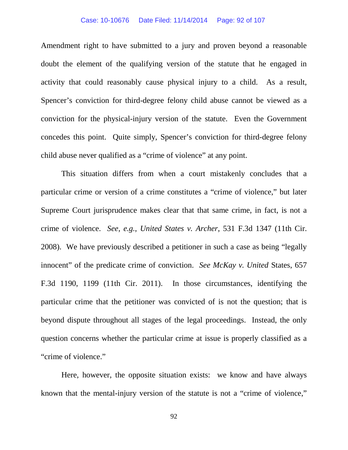### Case: 10-10676 Date Filed: 11/14/2014 Page: 92 of 107

Amendment right to have submitted to a jury and proven beyond a reasonable doubt the element of the qualifying version of the statute that he engaged in activity that could reasonably cause physical injury to a child. As a result, Spencer's conviction for third-degree felony child abuse cannot be viewed as a conviction for the physical-injury version of the statute. Even the Government concedes this point. Quite simply, Spencer's conviction for third-degree felony child abuse never qualified as a "crime of violence" at any point.

This situation differs from when a court mistakenly concludes that a particular crime or version of a crime constitutes a "crime of violence," but later Supreme Court jurisprudence makes clear that that same crime, in fact, is not a crime of violence. *See, e.g.*, *United States v. Archer*, 531 F.3d 1347 (11th Cir. 2008). We have previously described a petitioner in such a case as being "legally innocent" of the predicate crime of conviction. *See McKay v. United* States, 657 F.3d 1190, 1199 (11th Cir. 2011). In those circumstances, identifying the particular crime that the petitioner was convicted of is not the question; that is beyond dispute throughout all stages of the legal proceedings. Instead, the only question concerns whether the particular crime at issue is properly classified as a "crime of violence."

Here, however, the opposite situation exists: we know and have always known that the mental-injury version of the statute is not a "crime of violence,"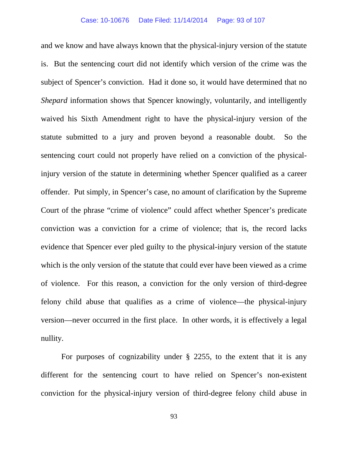and we know and have always known that the physical-injury version of the statute is. But the sentencing court did not identify which version of the crime was the subject of Spencer's conviction. Had it done so, it would have determined that no *Shepard* information shows that Spencer knowingly, voluntarily, and intelligently waived his Sixth Amendment right to have the physical-injury version of the statute submitted to a jury and proven beyond a reasonable doubt. So the sentencing court could not properly have relied on a conviction of the physicalinjury version of the statute in determining whether Spencer qualified as a career offender. Put simply, in Spencer's case, no amount of clarification by the Supreme Court of the phrase "crime of violence" could affect whether Spencer's predicate conviction was a conviction for a crime of violence; that is, the record lacks evidence that Spencer ever pled guilty to the physical-injury version of the statute which is the only version of the statute that could ever have been viewed as a crime of violence. For this reason, a conviction for the only version of third-degree felony child abuse that qualifies as a crime of violence—the physical-injury version—never occurred in the first place. In other words, it is effectively a legal nullity.

For purposes of cognizability under § 2255, to the extent that it is any different for the sentencing court to have relied on Spencer's non-existent conviction for the physical-injury version of third-degree felony child abuse in

93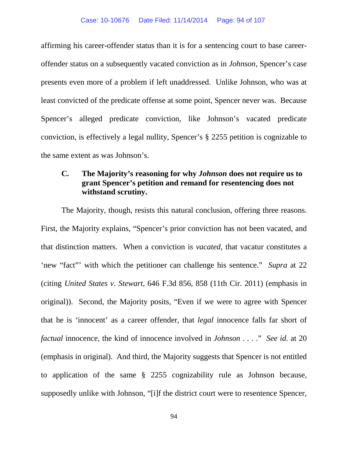affirming his career-offender status than it is for a sentencing court to base careeroffender status on a subsequently vacated conviction as in *Johnson*, Spencer's case presents even more of a problem if left unaddressed. Unlike Johnson, who was at least convicted of the predicate offense at some point, Spencer never was. Because Spencer's alleged predicate conviction, like Johnson's vacated predicate conviction, is effectively a legal nullity, Spencer's § 2255 petition is cognizable to the same extent as was Johnson's.

# **C. The Majority's reasoning for why** *Johnson* **does not require us to grant Spencer's petition and remand for resentencing does not withstand scrutiny.**

The Majority, though, resists this natural conclusion, offering three reasons. First, the Majority explains, "Spencer's prior conviction has not been vacated, and that distinction matters. When a conviction is *vacated*, that vacatur constitutes a 'new "fact"' with which the petitioner can challenge his sentence." *Supra* at 22 (citing *United States v. Stewart*, 646 F.3d 856, 858 (11th Cir. 2011) (emphasis in original)). Second, the Majority posits, "Even if we were to agree with Spencer that he is 'innocent' as a career offender, that *legal* innocence falls far short of *factual* innocence, the kind of innocence involved in *Johnson* . . . ." *See id.* at 20 (emphasis in original). And third, the Majority suggests that Spencer is not entitled to application of the same § 2255 cognizability rule as Johnson because, supposedly unlike with Johnson, "[i]f the district court were to resentence Spencer,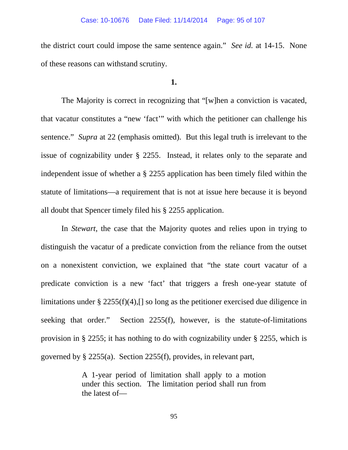the district court could impose the same sentence again." *See id.* at 14-15. None of these reasons can withstand scrutiny.

# **1.**

The Majority is correct in recognizing that "[w]hen a conviction is vacated, that vacatur constitutes a "new 'fact'" with which the petitioner can challenge his sentence." *Supra* at 22 (emphasis omitted). But this legal truth is irrelevant to the issue of cognizability under § 2255. Instead, it relates only to the separate and independent issue of whether a § 2255 application has been timely filed within the statute of limitations—a requirement that is not at issue here because it is beyond all doubt that Spencer timely filed his § 2255 application.

In *Stewart*, the case that the Majority quotes and relies upon in trying to distinguish the vacatur of a predicate conviction from the reliance from the outset on a nonexistent conviction, we explained that "the state court vacatur of a predicate conviction is a new 'fact' that triggers a fresh one-year statute of limitations under § 2255(f)(4),[] so long as the petitioner exercised due diligence in seeking that order." Section 2255(f), however, is the statute-of-limitations provision in § 2255; it has nothing to do with cognizability under § 2255, which is governed by § 2255(a). Section 2255(f), provides, in relevant part,

> A 1-year period of limitation shall apply to a motion under this section. The limitation period shall run from the latest of—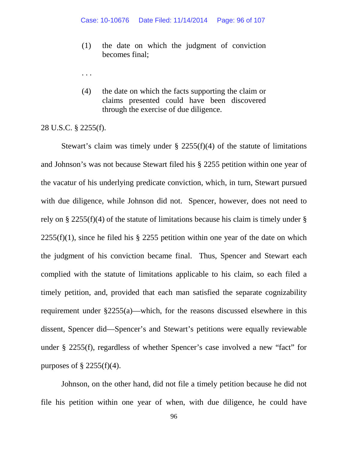- (1) the date on which the judgment of conviction becomes final;
- . . .
- (4) the date on which the facts supporting the claim or claims presented could have been discovered through the exercise of due diligence.

## 28 U.S.C. § 2255(f).

Stewart's claim was timely under  $\S$  2255(f)(4) of the statute of limitations and Johnson's was not because Stewart filed his § 2255 petition within one year of the vacatur of his underlying predicate conviction, which, in turn, Stewart pursued with due diligence, while Johnson did not. Spencer, however, does not need to rely on § 2255(f)(4) of the statute of limitations because his claim is timely under §  $2255(f)(1)$ , since he filed his § 2255 petition within one year of the date on which the judgment of his conviction became final. Thus, Spencer and Stewart each complied with the statute of limitations applicable to his claim, so each filed a timely petition, and, provided that each man satisfied the separate cognizability requirement under §2255(a)—which, for the reasons discussed elsewhere in this dissent, Spencer did—Spencer's and Stewart's petitions were equally reviewable under § 2255(f), regardless of whether Spencer's case involved a new "fact" for purposes of  $\S$  2255(f)(4).

Johnson, on the other hand, did not file a timely petition because he did not file his petition within one year of when, with due diligence, he could have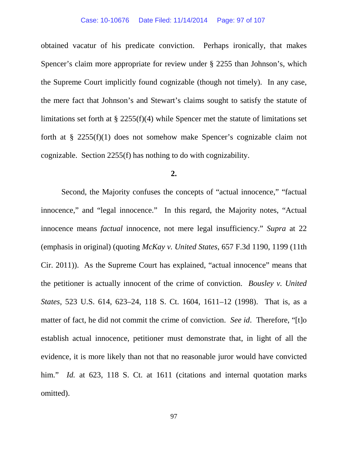obtained vacatur of his predicate conviction. Perhaps ironically, that makes Spencer's claim more appropriate for review under § 2255 than Johnson's, which the Supreme Court implicitly found cognizable (though not timely). In any case, the mere fact that Johnson's and Stewart's claims sought to satisfy the statute of limitations set forth at § 2255(f)(4) while Spencer met the statute of limitations set forth at § 2255(f)(1) does not somehow make Spencer's cognizable claim not cognizable. Section 2255(f) has nothing to do with cognizability.

## **2.**

Second, the Majority confuses the concepts of "actual innocence," "factual innocence," and "legal innocence." In this regard, the Majority notes, "Actual innocence means *factual* innocence, not mere legal insufficiency." *Supra* at 22 (emphasis in original) (quoting *McKay v. United States*, 657 F.3d 1190, 1199 (11th Cir. 2011)). As the Supreme Court has explained, "actual innocence" means that the petitioner is actually innocent of the crime of conviction. *Bousley v. United States*, 523 U.S. 614, 623–24, 118 S. Ct. 1604, 1611–12 (1998). That is, as a matter of fact, he did not commit the crime of conviction. *See id*. Therefore, "[t]o establish actual innocence, petitioner must demonstrate that, in light of all the evidence, it is more likely than not that no reasonable juror would have convicted him." *Id.* at 623, 118 S. Ct. at 1611 (citations and internal quotation marks omitted).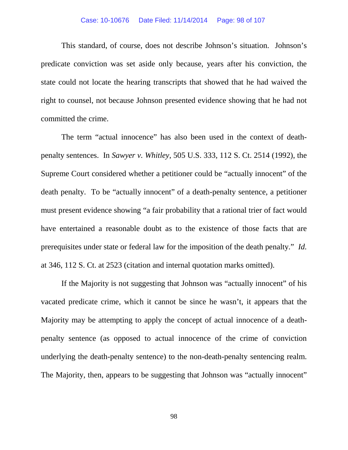### Case: 10-10676 Date Filed: 11/14/2014 Page: 98 of 107

This standard, of course, does not describe Johnson's situation. Johnson's predicate conviction was set aside only because, years after his conviction, the state could not locate the hearing transcripts that showed that he had waived the right to counsel, not because Johnson presented evidence showing that he had not committed the crime.

The term "actual innocence" has also been used in the context of deathpenalty sentences. In *Sawyer v. Whitley*, 505 U.S. 333, 112 S. Ct. 2514 (1992), the Supreme Court considered whether a petitioner could be "actually innocent" of the death penalty. To be "actually innocent" of a death-penalty sentence, a petitioner must present evidence showing "a fair probability that a rational trier of fact would have entertained a reasonable doubt as to the existence of those facts that are prerequisites under state or federal law for the imposition of the death penalty." *Id.* at 346, 112 S. Ct. at 2523 (citation and internal quotation marks omitted).

If the Majority is not suggesting that Johnson was "actually innocent" of his vacated predicate crime, which it cannot be since he wasn't, it appears that the Majority may be attempting to apply the concept of actual innocence of a deathpenalty sentence (as opposed to actual innocence of the crime of conviction underlying the death-penalty sentence) to the non-death-penalty sentencing realm. The Majority, then, appears to be suggesting that Johnson was "actually innocent"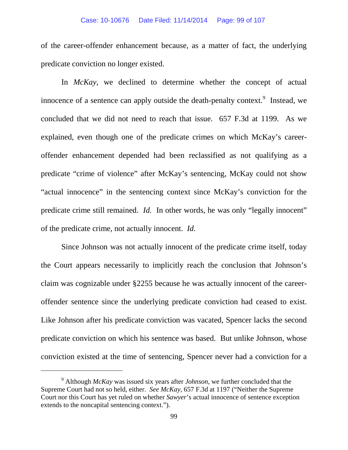of the career-offender enhancement because, as a matter of fact, the underlying predicate conviction no longer existed.

In *McKay*, we declined to determine whether the concept of actual innocence of a sentence can apply outside the death-penalty context.<sup>[9](#page-98-0)</sup> Instead, we concluded that we did not need to reach that issue. 657 F.3d at 1199. As we explained, even though one of the predicate crimes on which McKay's careeroffender enhancement depended had been reclassified as not qualifying as a predicate "crime of violence" after McKay's sentencing, McKay could not show "actual innocence" in the sentencing context since McKay's conviction for the predicate crime still remained. *Id.* In other words, he was only "legally innocent" of the predicate crime, not actually innocent. *Id.*

Since Johnson was not actually innocent of the predicate crime itself, today the Court appears necessarily to implicitly reach the conclusion that Johnson's claim was cognizable under §2255 because he was actually innocent of the careeroffender sentence since the underlying predicate conviction had ceased to exist. Like Johnson after his predicate conviction was vacated, Spencer lacks the second predicate conviction on which his sentence was based. But unlike Johnson, whose conviction existed at the time of sentencing, Spencer never had a conviction for a

<span id="page-98-0"></span><sup>9</sup> Although *McKay* was issued six years after *Johnson*, we further concluded that the Supreme Court had not so held, either. *See McKay*, 657 F.3d at 1197 ("Neither the Supreme Court nor this Court has yet ruled on whether *Sawyer*'s actual innocence of sentence exception extends to the noncapital sentencing context.").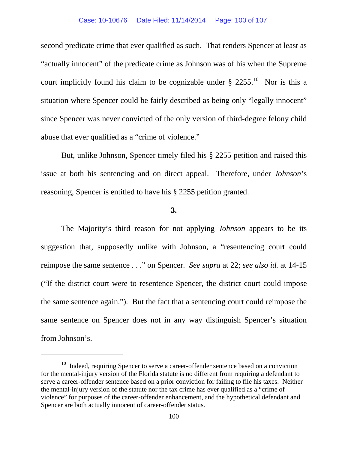#### Case: 10-10676 Date Filed: 11/14/2014 Page: 100 of 107

second predicate crime that ever qualified as such. That renders Spencer at least as "actually innocent" of the predicate crime as Johnson was of his when the Supreme court implicitly found his claim to be cognizable under  $\S 2255$ .<sup>[10](#page-99-0)</sup> Nor is this a situation where Spencer could be fairly described as being only "legally innocent" since Spencer was never convicted of the only version of third-degree felony child abuse that ever qualified as a "crime of violence."

But, unlike Johnson, Spencer timely filed his § 2255 petition and raised this issue at both his sentencing and on direct appeal. Therefore, under *Johnson*'s reasoning, Spencer is entitled to have his § 2255 petition granted.

### **3.**

The Majority's third reason for not applying *Johnson* appears to be its suggestion that, supposedly unlike with Johnson, a "resentencing court could reimpose the same sentence . . ." on Spencer. *See supra* at 22; *see also id.* at 14-15 ("If the district court were to resentence Spencer, the district court could impose the same sentence again."). But the fact that a sentencing court could reimpose the same sentence on Spencer does not in any way distinguish Spencer's situation from Johnson's.

<span id="page-99-0"></span> $10$  Indeed, requiring Spencer to serve a career-offender sentence based on a conviction for the mental-injury version of the Florida statute is no different from requiring a defendant to serve a career-offender sentence based on a prior conviction for failing to file his taxes. Neither the mental-injury version of the statute nor the tax crime has ever qualified as a "crime of violence" for purposes of the career-offender enhancement, and the hypothetical defendant and Spencer are both actually innocent of career-offender status.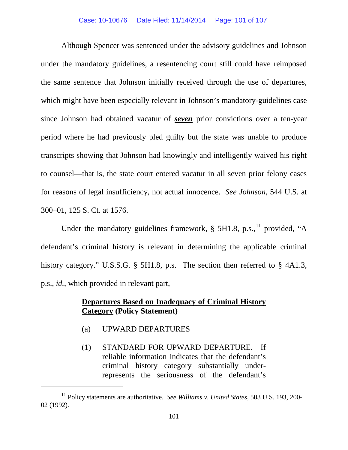#### Case: 10-10676 Date Filed: 11/14/2014 Page: 101 of 107

Although Spencer was sentenced under the advisory guidelines and Johnson under the mandatory guidelines, a resentencing court still could have reimposed the same sentence that Johnson initially received through the use of departures, which might have been especially relevant in Johnson's mandatory-guidelines case since Johnson had obtained vacatur of *seven* prior convictions over a ten-year period where he had previously pled guilty but the state was unable to produce transcripts showing that Johnson had knowingly and intelligently waived his right to counsel—that is, the state court entered vacatur in all seven prior felony cases for reasons of legal insufficiency, not actual innocence. *See Johnson*, 544 U.S. at 300–01, 125 S. Ct. at 1576.

Under the mandatory guidelines framework,  $\S$  5H1.8, p.s., <sup>[11](#page-100-0)</sup> provided, "A defendant's criminal history is relevant in determining the applicable criminal history category." U.S.S.G. § 5H1.8, p.s. The section then referred to § 4A1.3, p.s., *id.*, which provided in relevant part,

# **Departures Based on Inadequacy of Criminal History Category (Policy Statement)**

(a) UPWARD DEPARTURES

 $\overline{a}$ 

(1) STANDARD FOR UPWARD DEPARTURE.—If reliable information indicates that the defendant's criminal history category substantially underrepresents the seriousness of the defendant's

<span id="page-100-0"></span><sup>11</sup> Policy statements are authoritative. *See Williams v. United States*, 503 U.S. 193, 200- 02 (1992).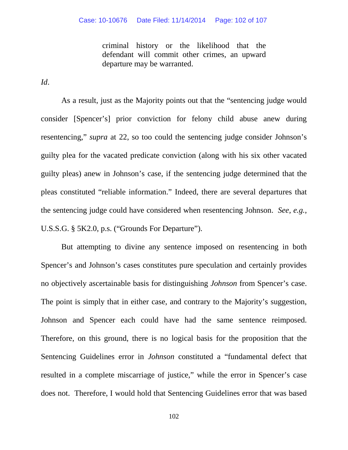criminal history or the likelihood that the defendant will commit other crimes, an upward departure may be warranted.

*Id*.

As a result, just as the Majority points out that the "sentencing judge would consider [Spencer's] prior conviction for felony child abuse anew during resentencing," *supra* at 22, so too could the sentencing judge consider Johnson's guilty plea for the vacated predicate conviction (along with his six other vacated guilty pleas) anew in Johnson's case, if the sentencing judge determined that the pleas constituted "reliable information." Indeed, there are several departures that the sentencing judge could have considered when resentencing Johnson. *See, e.g.*, U.S.S.G. § 5K2.0, p.s. ("Grounds For Departure").

But attempting to divine any sentence imposed on resentencing in both Spencer's and Johnson's cases constitutes pure speculation and certainly provides no objectively ascertainable basis for distinguishing *Johnson* from Spencer's case. The point is simply that in either case, and contrary to the Majority's suggestion, Johnson and Spencer each could have had the same sentence reimposed. Therefore, on this ground, there is no logical basis for the proposition that the Sentencing Guidelines error in *Johnson* constituted a "fundamental defect that resulted in a complete miscarriage of justice," while the error in Spencer's case does not. Therefore, I would hold that Sentencing Guidelines error that was based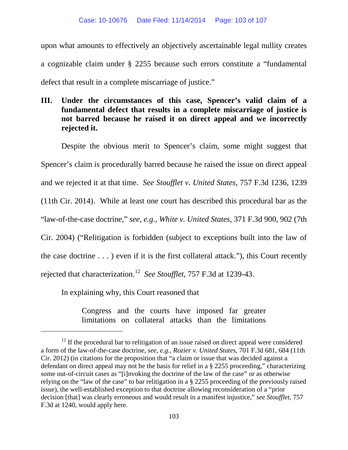upon what amounts to effectively an objectively ascertainable legal nullity creates a cognizable claim under § 2255 because such errors constitute a "fundamental defect that result in a complete miscarriage of justice."

**III. Under the circumstances of this case, Spencer's valid claim of a fundamental defect that results in a complete miscarriage of justice is not barred because he raised it on direct appeal and we incorrectly rejected it.**

Despite the obvious merit to Spencer's claim, some might suggest that Spencer's claim is procedurally barred because he raised the issue on direct appeal and we rejected it at that time. *See Stoufflet v. United States*, 757 F.3d 1236, 1239 (11th Cir. 2014). While at least one court has described this procedural bar as the "law-of-the-case doctrine," *see, e.g., White v. United States*, 371 F.3d 900, 902 (7th Cir. 2004) ("Relitigation is forbidden (subject to exceptions built into the law of the case doctrine . . . ) even if it is the first collateral attack."), this Court recently rejected that characterization.[12](#page-102-0) *See Stoufflet*, 757 F.3d at 1239-43.

In explaining why, this Court reasoned that

 $\overline{a}$ 

Congress and the courts have imposed far greater limitations on collateral attacks than the limitations

<span id="page-102-0"></span> $12$  If the procedural bar to relitigation of an issue raised on direct appeal were considered a form of the law-of-the-case doctrine, *see, e.g., Rozier v. United States*, 701 F.3d 681, 684 (11th Cir. 2012) (in citations for the proposition that "a claim or issue that was decided against a defendant on direct appeal may not be the basis for relief in a § 2255 proceeding," characterizing some out-of-circuit cases as "[i]nvoking the doctrine of the law of the case" or as otherwise relying on the "law of the case" to bar relitigation in a § 2255 proceeding of the previously raised issue), the well-established exception to that doctrine allowing reconsideration of a "prior decision [that] was clearly erroneous and would result in a manifest injustice," *see Stoufflet*, 757 F.3d at 1240, would apply here.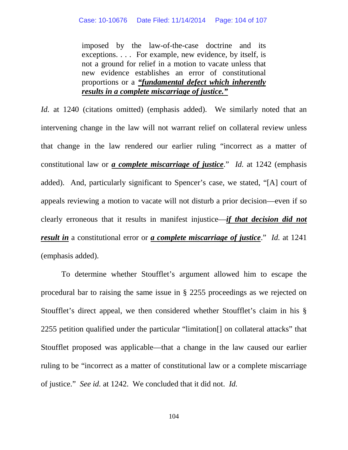imposed by the law-of-the-case doctrine and its exceptions. . . . For example, new evidence, by itself, is not a ground for relief in a motion to vacate unless that new evidence establishes an error of constitutional proportions or a *"fundamental defect which inherently results in a complete miscarriage of justice."*

*Id.* at 1240 (citations omitted) (emphasis added). We similarly noted that an intervening change in the law will not warrant relief on collateral review unless that change in the law rendered our earlier ruling "incorrect as a matter of constitutional law or *a complete miscarriage of justice*." *Id.* at 1242 (emphasis added). And, particularly significant to Spencer's case, we stated, "[A] court of appeals reviewing a motion to vacate will not disturb a prior decision—even if so clearly erroneous that it results in manifest injustice—*if that decision did not result in* a constitutional error or *a complete miscarriage of justice*." *Id.* at 1241 (emphasis added).

To determine whether Stoufflet's argument allowed him to escape the procedural bar to raising the same issue in § 2255 proceedings as we rejected on Stoufflet's direct appeal, we then considered whether Stoufflet's claim in his § 2255 petition qualified under the particular "limitation[] on collateral attacks" that Stoufflet proposed was applicable—that a change in the law caused our earlier ruling to be "incorrect as a matter of constitutional law or a complete miscarriage of justice." *See id.* at 1242. We concluded that it did not. *Id.*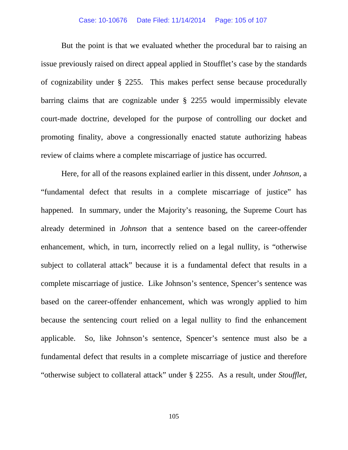### Case: 10-10676 Date Filed: 11/14/2014 Page: 105 of 107

But the point is that we evaluated whether the procedural bar to raising an issue previously raised on direct appeal applied in Stoufflet's case by the standards of cognizability under § 2255. This makes perfect sense because procedurally barring claims that are cognizable under § 2255 would impermissibly elevate court-made doctrine, developed for the purpose of controlling our docket and promoting finality, above a congressionally enacted statute authorizing habeas review of claims where a complete miscarriage of justice has occurred.

Here, for all of the reasons explained earlier in this dissent, under *Johnson*, a "fundamental defect that results in a complete miscarriage of justice" has happened. In summary, under the Majority's reasoning, the Supreme Court has already determined in *Johnson* that a sentence based on the career-offender enhancement, which, in turn, incorrectly relied on a legal nullity, is "otherwise subject to collateral attack" because it is a fundamental defect that results in a complete miscarriage of justice. Like Johnson's sentence, Spencer's sentence was based on the career-offender enhancement, which was wrongly applied to him because the sentencing court relied on a legal nullity to find the enhancement applicable. So, like Johnson's sentence, Spencer's sentence must also be a fundamental defect that results in a complete miscarriage of justice and therefore "otherwise subject to collateral attack" under § 2255. As a result, under *Stoufflet*,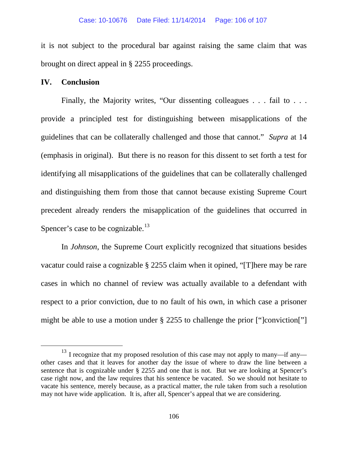it is not subject to the procedural bar against raising the same claim that was brought on direct appeal in § 2255 proceedings.

# **IV. Conclusion**

Finally, the Majority writes, "Our dissenting colleagues . . . fail to . . . provide a principled test for distinguishing between misapplications of the guidelines that can be collaterally challenged and those that cannot." *Supra* at 14 (emphasis in original). But there is no reason for this dissent to set forth a test for identifying all misapplications of the guidelines that can be collaterally challenged and distinguishing them from those that cannot because existing Supreme Court precedent already renders the misapplication of the guidelines that occurred in Spencer's case to be cognizable.<sup>[13](#page-105-0)</sup>

In *Johnson*, the Supreme Court explicitly recognized that situations besides vacatur could raise a cognizable § 2255 claim when it opined, "[T]here may be rare cases in which no channel of review was actually available to a defendant with respect to a prior conviction, due to no fault of his own, in which case a prisoner might be able to use a motion under § 2255 to challenge the prior ["]conviction["]

<span id="page-105-0"></span> $13$  I recognize that my proposed resolution of this case may not apply to many—if any other cases and that it leaves for another day the issue of where to draw the line between a sentence that is cognizable under § 2255 and one that is not. But we are looking at Spencer's case right now, and the law requires that his sentence be vacated. So we should not hesitate to vacate his sentence, merely because, as a practical matter, the rule taken from such a resolution may not have wide application. It is, after all, Spencer's appeal that we are considering.